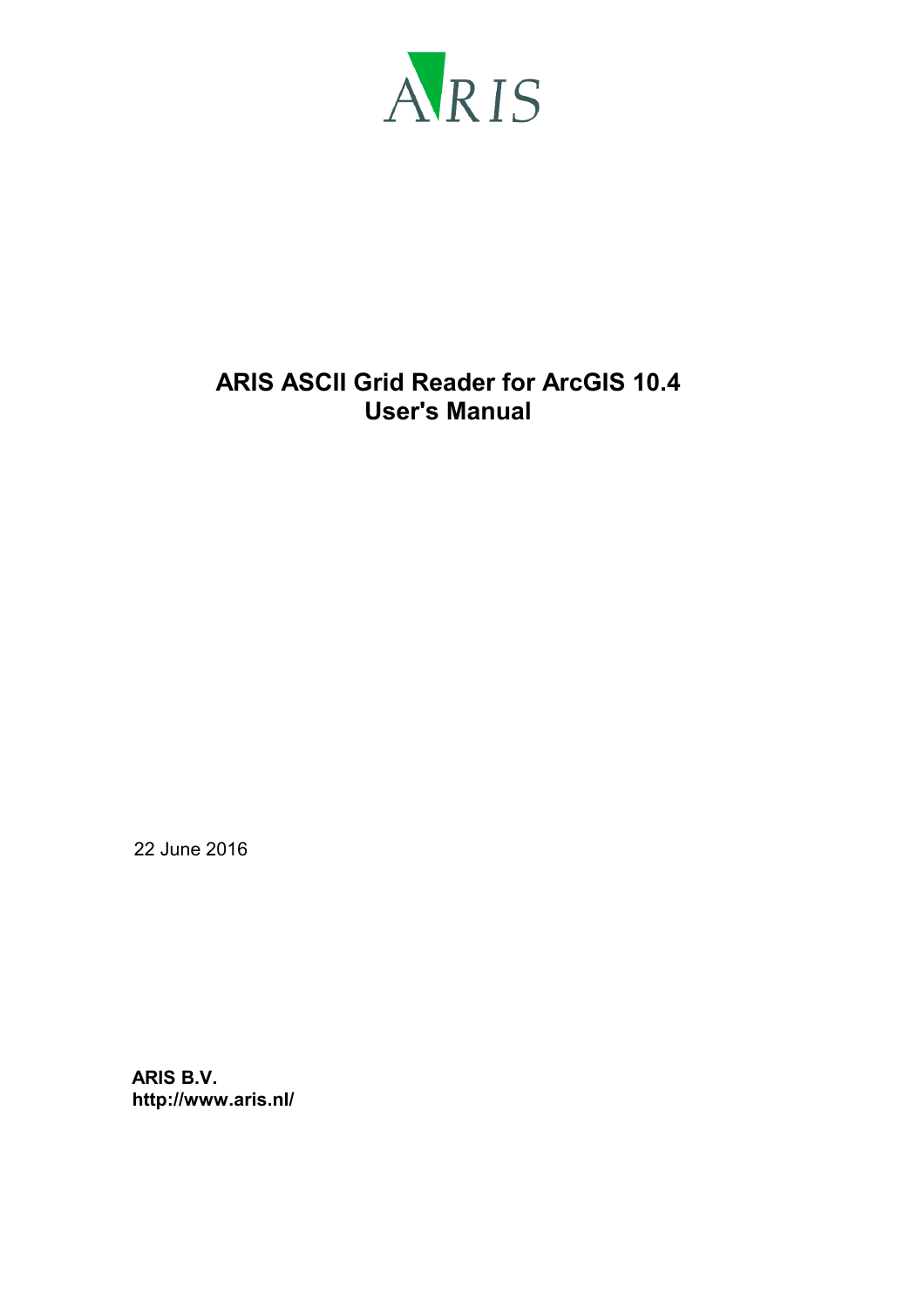

# **ARIS ASCII Grid Reader for ArcGIS 10.4 User's Manual**

22 June 2016

**ARIS B.V. http://www.aris.nl/**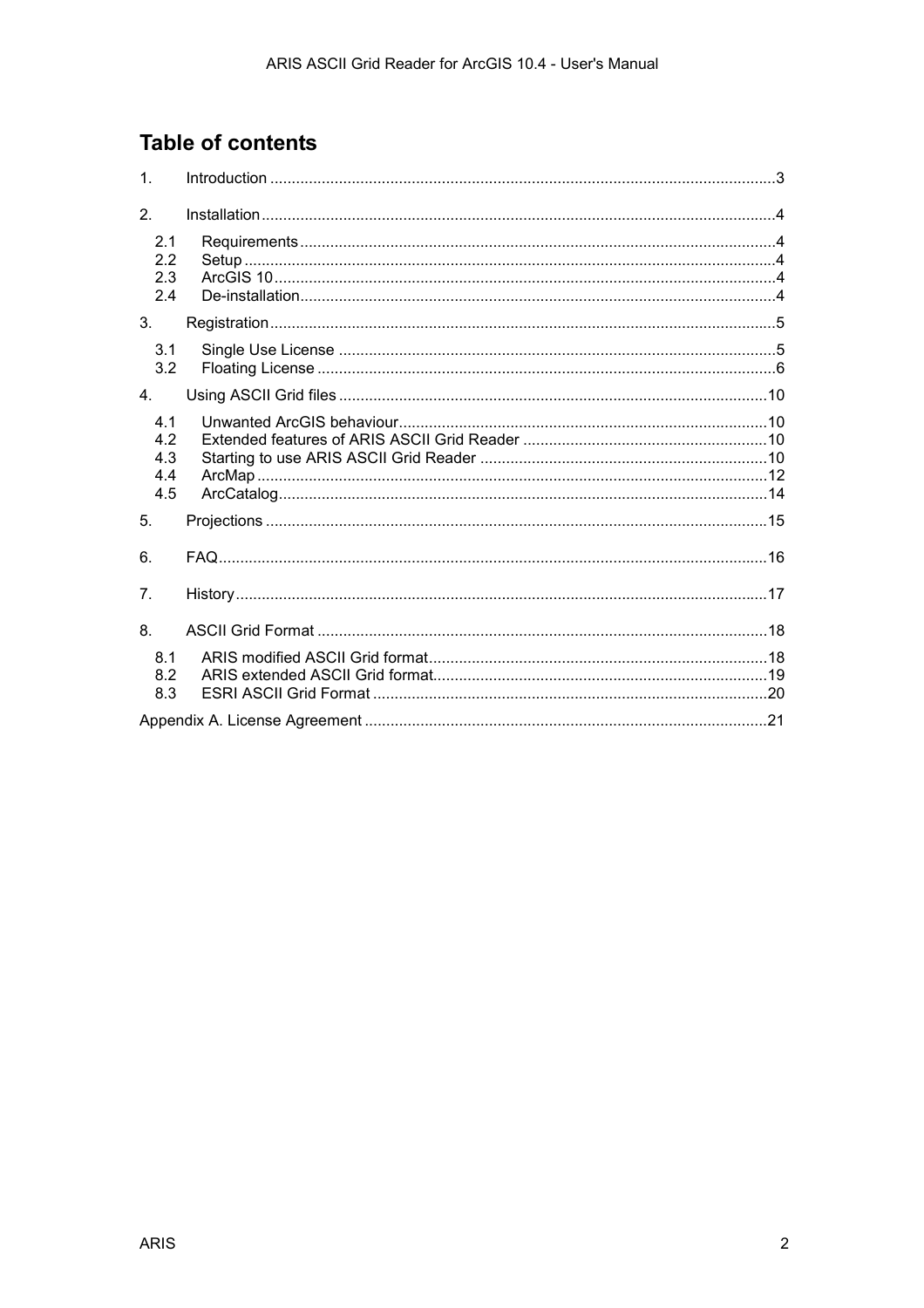# **Table of contents**

| 1.                             |  |
|--------------------------------|--|
| 2.                             |  |
| 2.1<br>2.2<br>2.3<br>2.4       |  |
| 3.                             |  |
| 3.1<br>3.2                     |  |
| 4.                             |  |
| 4.1<br>42<br>4.3<br>4.4<br>4.5 |  |
| 5.                             |  |
| 6.                             |  |
| 7 <sub>1</sub>                 |  |
| 8.                             |  |
| 8.1<br>8.2<br>8.3              |  |
|                                |  |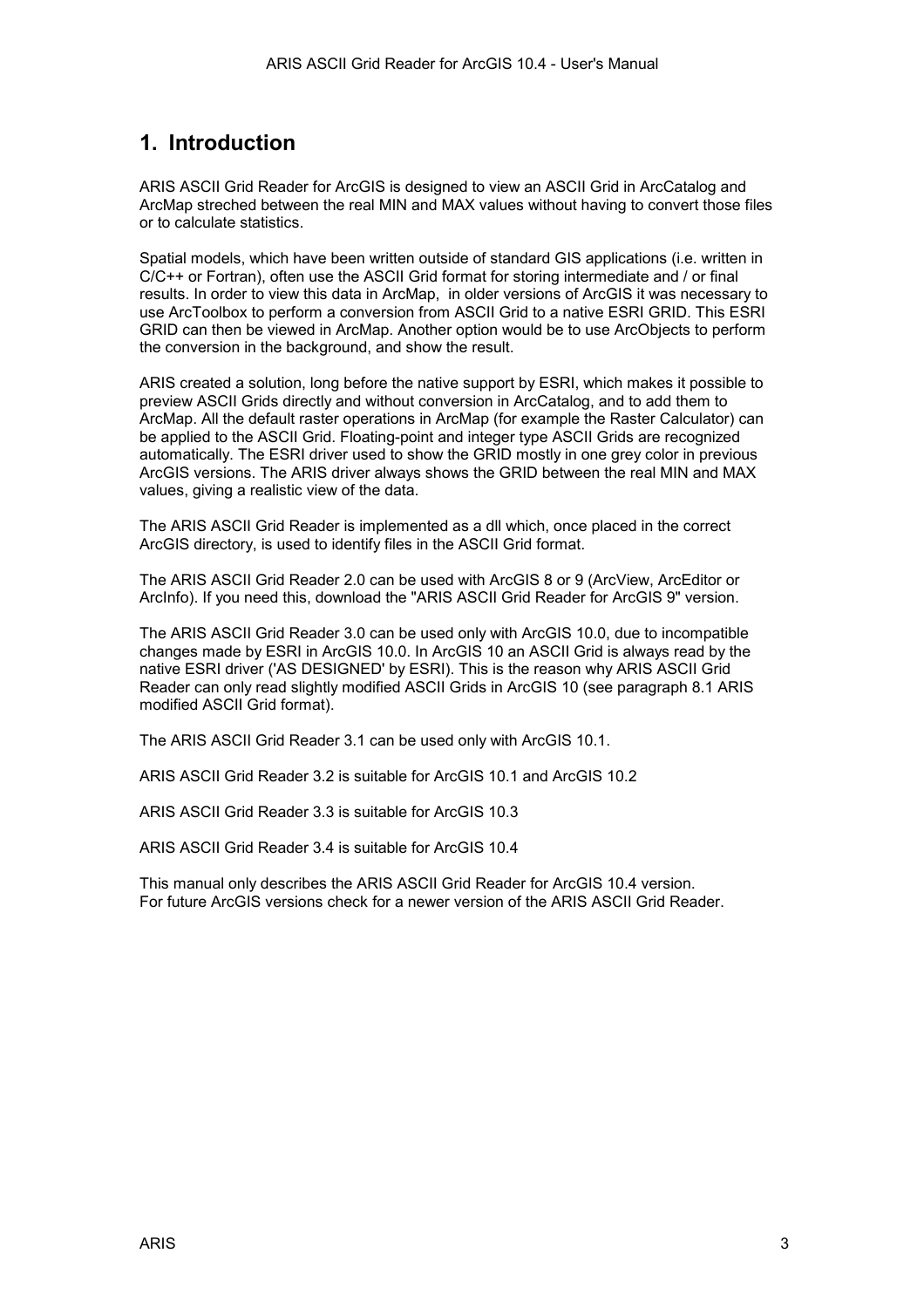## <span id="page-2-0"></span>**1. Introduction**

ARIS ASCII Grid Reader for ArcGIS is designed to view an ASCII Grid in ArcCatalog and ArcMap streched between the real MIN and MAX values without having to convert those files or to calculate statistics.

Spatial models, which have been written outside of standard GIS applications (i.e. written in C/C++ or Fortran), often use the ASCII Grid format for storing intermediate and / or final results. In order to view this data in ArcMap, in older versions of ArcGIS it was necessary to use ArcToolbox to perform a conversion from ASCII Grid to a native ESRI GRID. This ESRI GRID can then be viewed in ArcMap. Another option would be to use ArcObjects to perform the conversion in the background, and show the result.

ARIS created a solution, long before the native support by ESRI, which makes it possible to preview ASCII Grids directly and without conversion in ArcCatalog, and to add them to ArcMap. All the default raster operations in ArcMap (for example the Raster Calculator) can be applied to the ASCII Grid. Floating-point and integer type ASCII Grids are recognized automatically. The ESRI driver used to show the GRID mostly in one grey color in previous ArcGIS versions. The ARIS driver always shows the GRID between the real MIN and MAX values, giving a realistic view of the data.

The ARIS ASCII Grid Reader is implemented as a dll which, once placed in the correct ArcGIS directory, is used to identify files in the ASCII Grid format.

The ARIS ASCII Grid Reader 2.0 can be used with ArcGIS 8 or 9 (ArcView, ArcEditor or ArcInfo). If you need this, download the "ARIS ASCII Grid Reader for ArcGIS 9" version.

The ARIS ASCII Grid Reader 3.0 can be used only with ArcGIS 10.0, due to incompatible changes made by ESRI in ArcGIS 10.0. In ArcGIS 10 an ASCII Grid is always read by the native ESRI driver ('AS DESIGNED' by ESRI). This is the reason why ARIS ASCII Grid Reader can only read slightly modified ASCII Grids in ArcGIS 10 (see paragraph [8.1 ARIS](#page-17-0)  [modified ASCII Grid format\)](#page-17-0).

The ARIS ASCII Grid Reader 3.1 can be used only with ArcGIS 10.1.

ARIS ASCII Grid Reader 3.2 is suitable for ArcGIS 10.1 and ArcGIS 10.2

ARIS ASCII Grid Reader 3.3 is suitable for ArcGIS 10.3

ARIS ASCII Grid Reader 3.4 is suitable for ArcGIS 10.4

This manual only describes the ARIS ASCII Grid Reader for ArcGIS 10.4 version. For future ArcGIS versions check for a newer version of the ARIS ASCII Grid Reader.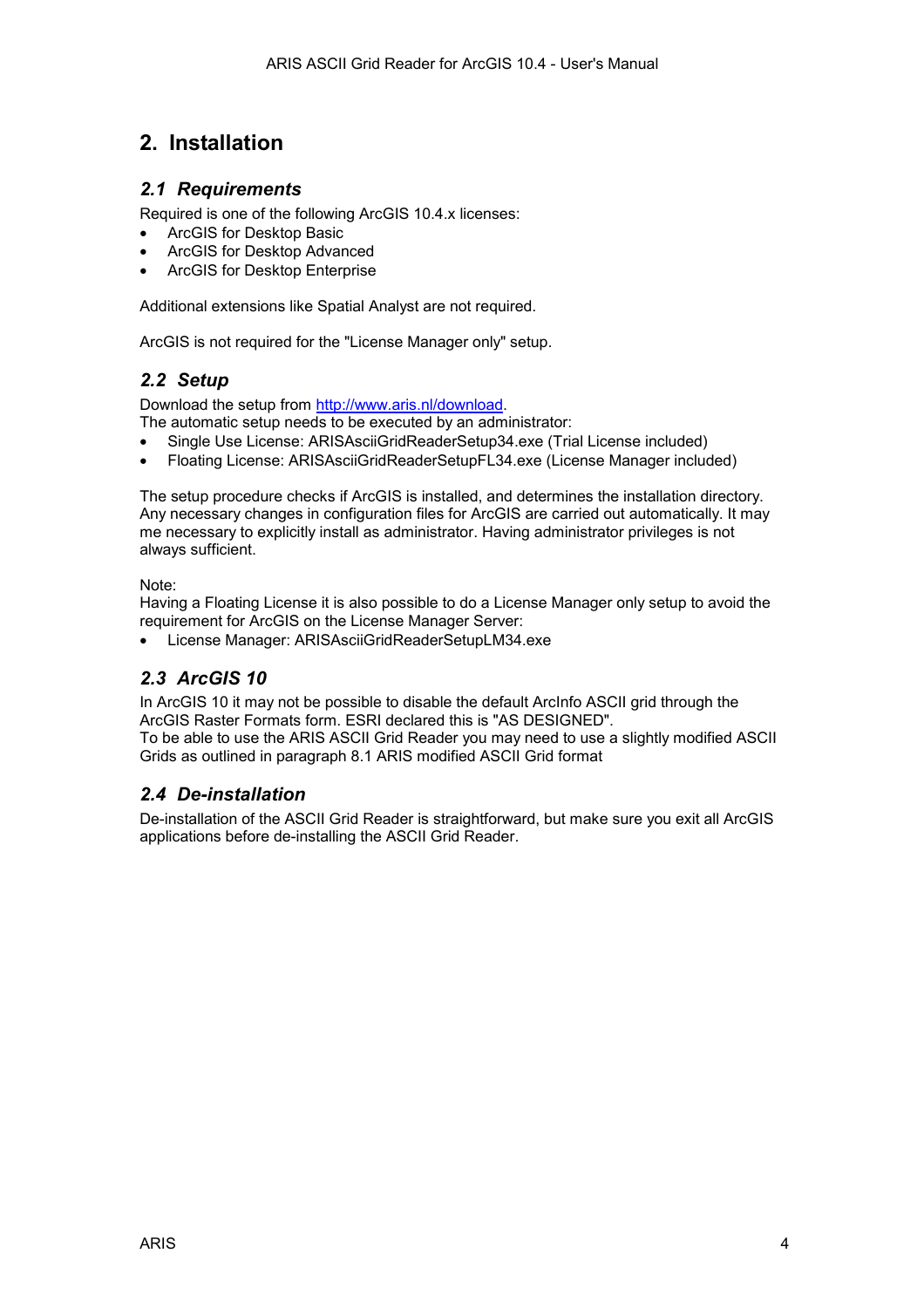## <span id="page-3-0"></span>**2. Installation**

### *2.1 Requirements*

Required is one of the following ArcGIS 10.4.x licenses:

- ArcGIS for Desktop Basic
- ArcGIS for Desktop Advanced
- ArcGIS for Desktop Enterprise

Additional extensions like Spatial Analyst are not required.

ArcGIS is not required for the "License Manager only" setup.

## *2.2 Setup*

Download the setup from [http://www.aris.nl/download.](http://www.aris.nl/download) 

The automatic setup needs to be executed by an administrator:

- Single Use License: ARISAsciiGridReaderSetup34.exe (Trial License included)
- Floating License: ARISAsciiGridReaderSetupFL34.exe (License Manager included)

The setup procedure checks if ArcGIS is installed, and determines the installation directory. Any necessary changes in configuration files for ArcGIS are carried out automatically. It may me necessary to explicitly install as administrator. Having administrator privileges is not always sufficient.

Note:

Having a Floating License it is also possible to do a License Manager only setup to avoid the requirement for ArcGIS on the License Manager Server:

• License Manager: ARISAsciiGridReaderSetupLM34.exe

## *2.3 ArcGIS 10*

In ArcGIS 10 it may not be possible to disable the default ArcInfo ASCII grid through the ArcGIS Raster Formats form. ESRI declared this is "AS DESIGNED". To be able to use the ARIS ASCII Grid Reader you may need to use a slightly modified ASCII Grids as outlined in paragraph [8.1 ARIS modified ASCII Grid format](#page-17-0) 

## *2.4 De-installation*

De-installation of the ASCII Grid Reader is straightforward, but make sure you exit all ArcGIS applications before de-installing the ASCII Grid Reader.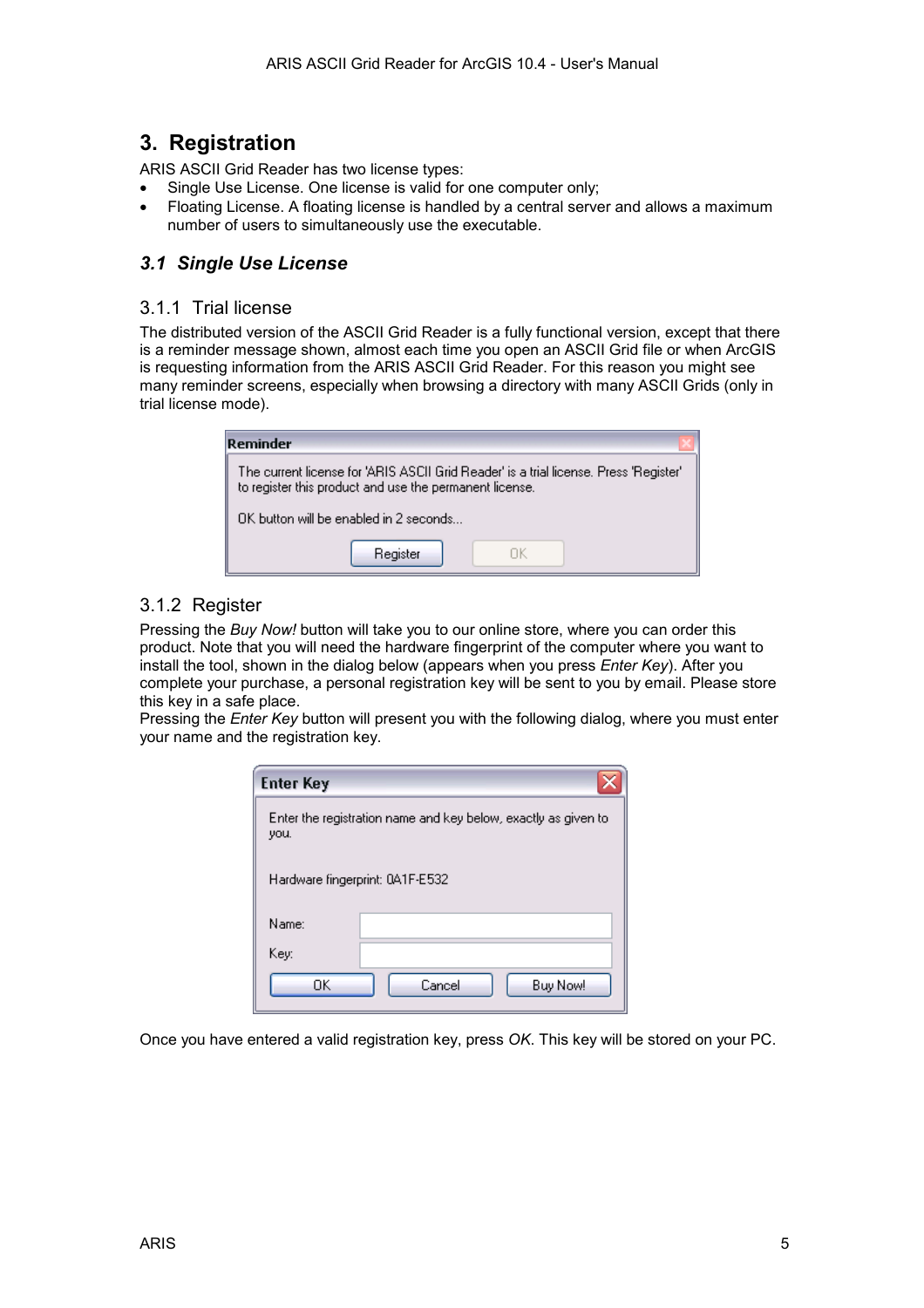## <span id="page-4-0"></span>**3. Registration**

ARIS ASCII Grid Reader has two license types:

- Single Use License. One license is valid for one computer only;
- Floating License. A floating license is handled by a central server and allows a maximum number of users to simultaneously use the executable.

## *3.1 Single Use License*

### 3.1.1 Trial license

The distributed version of the ASCII Grid Reader is a fully functional version, except that there is a reminder message shown, almost each time you open an ASCII Grid file or when ArcGIS is requesting information from the ARIS ASCII Grid Reader. For this reason you might see many reminder screens, especially when browsing a directory with many ASCII Grids (only in trial license mode).

| Reminder                                                                                                                                         |  |  |  |
|--------------------------------------------------------------------------------------------------------------------------------------------------|--|--|--|
| The current license for 'ARIS ASCII Grid Reader' is a trial license. Press 'Register'<br>to register this product and use the permanent license. |  |  |  |
| $\n  0$ K button will be enabled in 2 seconds $\n  1$                                                                                            |  |  |  |
| Register                                                                                                                                         |  |  |  |

## 3.1.2 Register

Pressing the *Buy Now!* button will take you to our online store, where you can order this product. Note that you will need the hardware fingerprint of the computer where you want to install the tool, shown in the dialog below (appears when you press *Enter Key*). After you complete your purchase, a personal registration key will be sent to you by email. Please store this key in a safe place.

Pressing the *Enter Key* button will present you with the following dialog, where you must enter your name and the registration key.

| <b>Enter Key</b>                                                       |                    |  |  |
|------------------------------------------------------------------------|--------------------|--|--|
| Enter the registration name and key below, exactly as given to<br>you. |                    |  |  |
| Hardware fingerprint: 0A1F-E532                                        |                    |  |  |
| Name:                                                                  |                    |  |  |
| Key:                                                                   |                    |  |  |
| OΚ                                                                     | Cancel<br>Buy Now! |  |  |

Once you have entered a valid registration key, press *OK*. This key will be stored on your PC.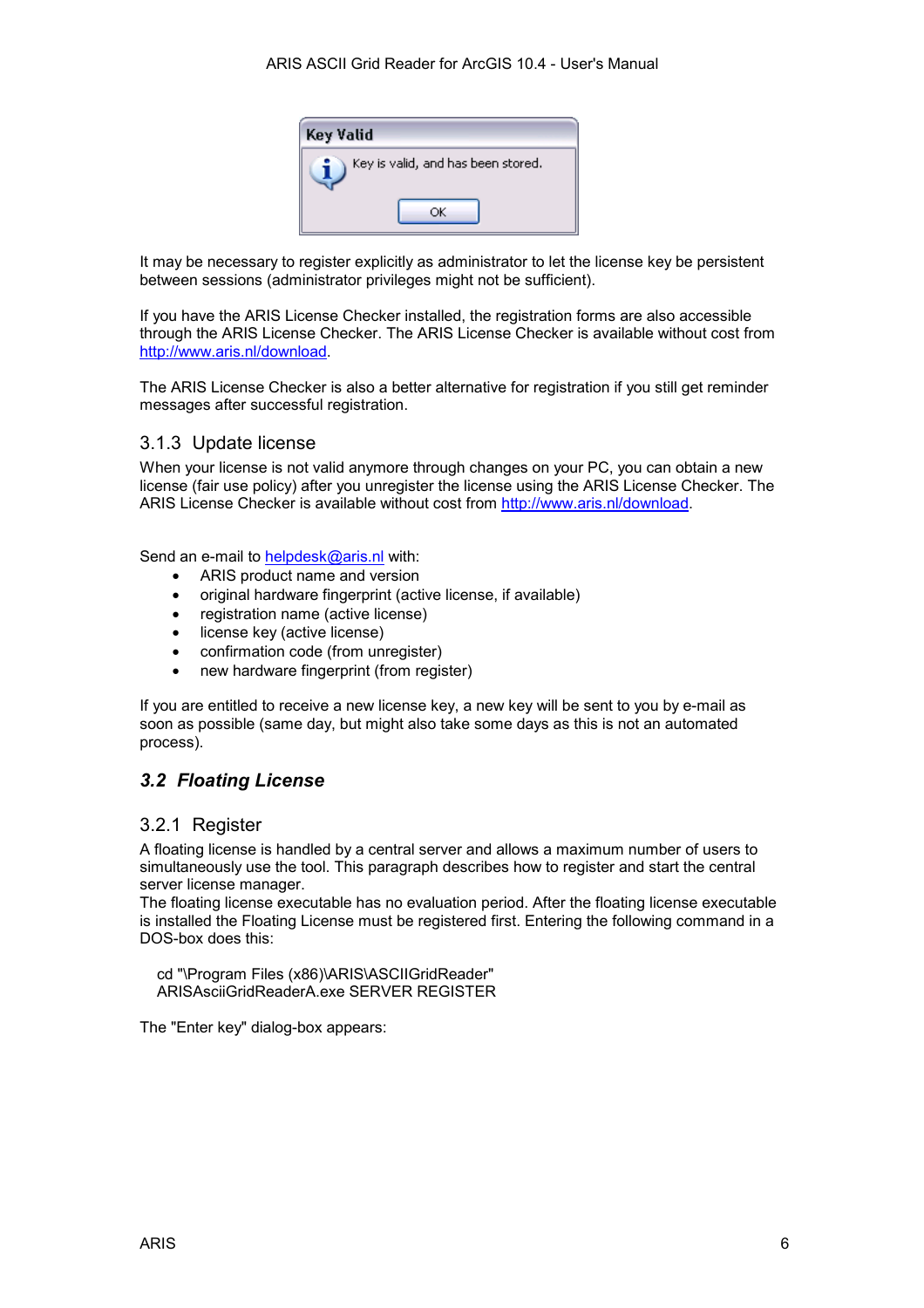

<span id="page-5-0"></span>It may be necessary to register explicitly as administrator to let the license key be persistent between sessions (administrator privileges might not be sufficient).

If you have the ARIS License Checker installed, the registration forms are also accessible through the ARIS License Checker. The ARIS License Checker is available without cost from [http://www.aris.nl/download.](http://www.aris.nl/download)

The ARIS License Checker is also a better alternative for registration if you still get reminder messages after successful registration.

### 3.1.3 Update license

When your license is not valid anymore through changes on your PC, you can obtain a new license (fair use policy) after you unregister the license using the ARIS License Checker. The ARIS License Checker is available without cost from [http://www.aris.nl/download.](http://www.aris.nl/download) 

Send an e-mail to [helpdesk@aris.nl](mailto:helpdesk@aris.nl) with:

- ARIS product name and version
- original hardware fingerprint (active license, if available)
- registration name (active license)
- license key (active license)
- confirmation code (from unregister)
- new hardware fingerprint (from register)

If you are entitled to receive a new license key, a new key will be sent to you by e-mail as soon as possible (same day, but might also take some days as this is not an automated process).

## *3.2 Floating License*

#### 3.2.1 Register

A floating license is handled by a central server and allows a maximum number of users to simultaneously use the tool. This paragraph describes how to register and start the central server license manager.

The floating license executable has no evaluation period. After the floating license executable is installed the Floating License must be registered first. Entering the following command in a DOS-box does this:

 cd "\Program Files (x86)\ARIS\ASCIIGridReader" ARISAsciiGridReaderA.exe SERVER REGISTER

The "Enter key" dialog-box appears: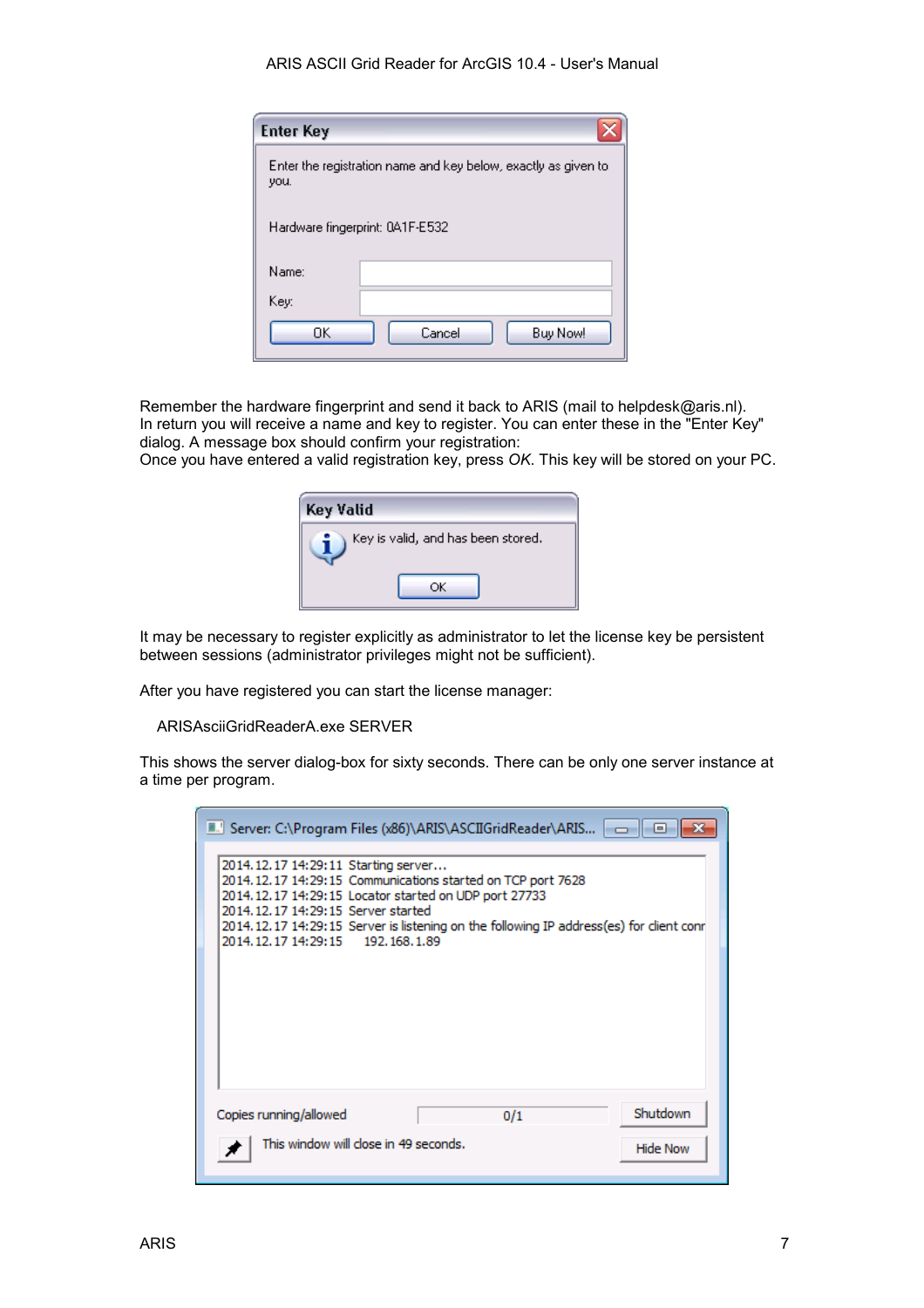#### ARIS ASCII Grid Reader for ArcGIS 10.4 - User's Manual

| <b>Enter Key</b>                                                       |                    |  |  |
|------------------------------------------------------------------------|--------------------|--|--|
| Enter the registration name and key below, exactly as given to<br>you. |                    |  |  |
| Hardware fingerprint: 0A1F-E532                                        |                    |  |  |
| Name:                                                                  |                    |  |  |
| Key:                                                                   |                    |  |  |
| OΚ                                                                     | Cancel<br>Buy Now! |  |  |

Remember the hardware fingerprint and send it back to ARIS (mail to helpdesk@aris.nl). In return you will receive a name and key to register. You can enter these in the "Enter Key" dialog. A message box should confirm your registration:

Once you have entered a valid registration key, press *OK*. This key will be stored on your PC.

| Key Valid                          |  |
|------------------------------------|--|
| Key is valid, and has been stored. |  |
|                                    |  |

It may be necessary to register explicitly as administrator to let the license key be persistent between sessions (administrator privileges might not be sufficient).

After you have registered you can start the license manager:

ARISAsciiGridReaderA.exe SERVER

This shows the server dialog-box for sixty seconds. There can be only one server instance at a time per program.

| Server: C:\Program Files (x86)\ARIS\ASCIIGridReader\ARIS   -  <br><b>For</b>                                                                                                                                                                                                                                                             |  |  |  |  |
|------------------------------------------------------------------------------------------------------------------------------------------------------------------------------------------------------------------------------------------------------------------------------------------------------------------------------------------|--|--|--|--|
| 2014.12.17 14:29:11 Starting server<br>2014.12.17 14:29:15 Communications started on TCP port 7628<br>2014, 12, 17 14: 29: 15 Locator started on UDP port 27733<br>2014, 12, 17 14: 29: 15 Server started<br>2014.12.17 14:29:15 Server is listening on the following IP address(es) for client conr<br>2014.12.17 14:29:15 192.168.1.89 |  |  |  |  |
| Shutdown<br>Copies running/allowed<br>0/1                                                                                                                                                                                                                                                                                                |  |  |  |  |
| This window will close in 49 seconds.<br><b>Hide Now</b>                                                                                                                                                                                                                                                                                 |  |  |  |  |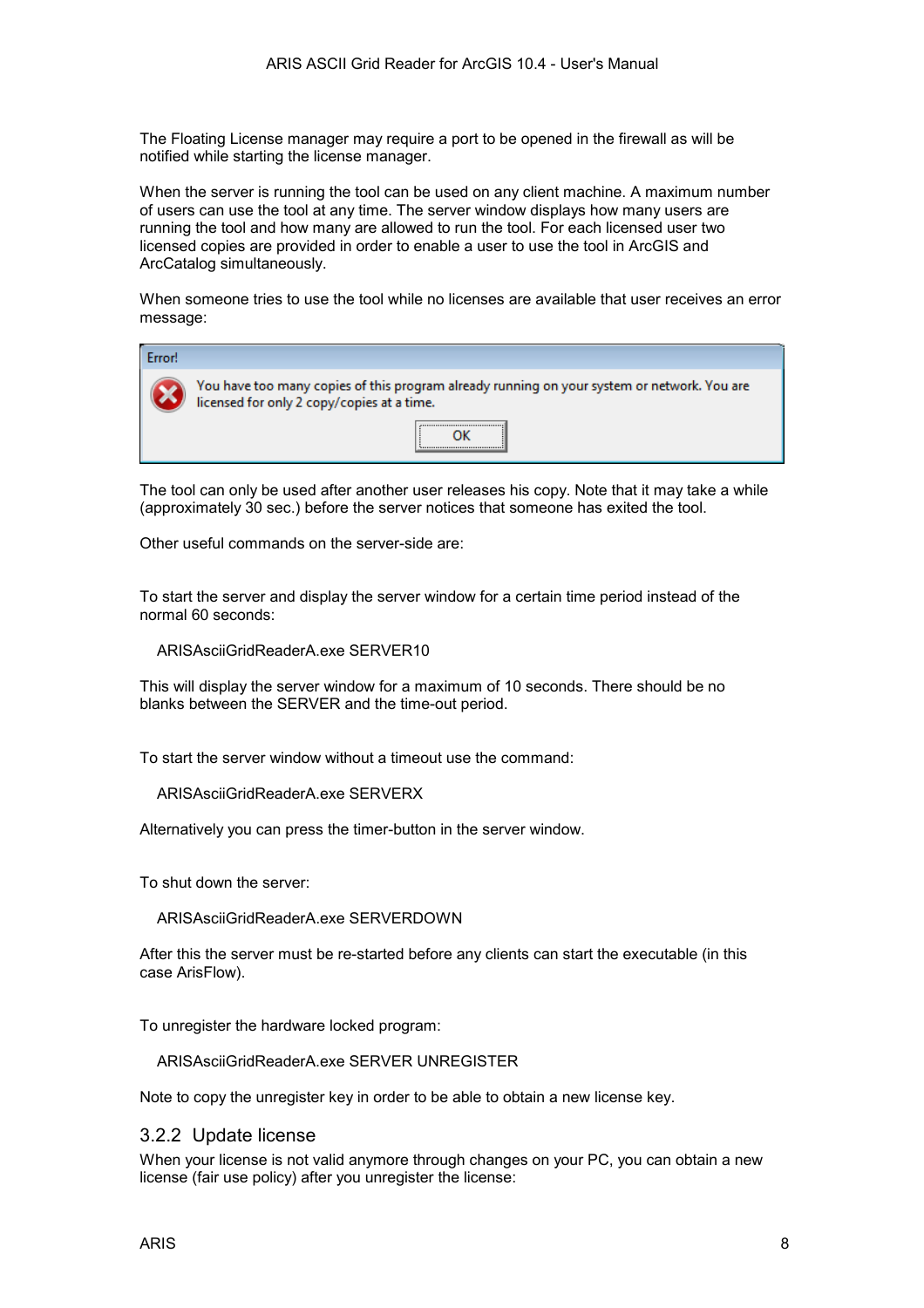The Floating License manager may require a port to be opened in the firewall as will be notified while starting the license manager.

When the server is running the tool can be used on any client machine. A maximum number of users can use the tool at any time. The server window displays how many users are running the tool and how many are allowed to run the tool. For each licensed user two licensed copies are provided in order to enable a user to use the tool in ArcGIS and ArcCatalog simultaneously.

When someone tries to use the tool while no licenses are available that user receives an error message:

| Error! |                                                                                                                                           |  |  |
|--------|-------------------------------------------------------------------------------------------------------------------------------------------|--|--|
|        | You have too many copies of this program already running on your system or network. You are<br>licensed for only 2 copy/copies at a time. |  |  |
|        |                                                                                                                                           |  |  |

The tool can only be used after another user releases his copy. Note that it may take a while (approximately 30 sec.) before the server notices that someone has exited the tool.

Other useful commands on the server-side are:

To start the server and display the server window for a certain time period instead of the normal 60 seconds:

ARISAsciiGridReaderA.exe SERVER10

This will display the server window for a maximum of 10 seconds. There should be no blanks between the SERVER and the time-out period.

To start the server window without a timeout use the command:

ARISAsciiGridReaderA.exe SERVERX

Alternatively you can press the timer-button in the server window.

To shut down the server:

ARISAsciiGridReaderA.exe SERVERDOWN

After this the server must be re-started before any clients can start the executable (in this case ArisFlow).

To unregister the hardware locked program:

ARISAsciiGridReaderA.exe SERVER UNREGISTER

Note to copy the unregister key in order to be able to obtain a new license key.

#### 3.2.2 Update license

When your license is not valid anymore through changes on your PC, you can obtain a new license (fair use policy) after you unregister the license: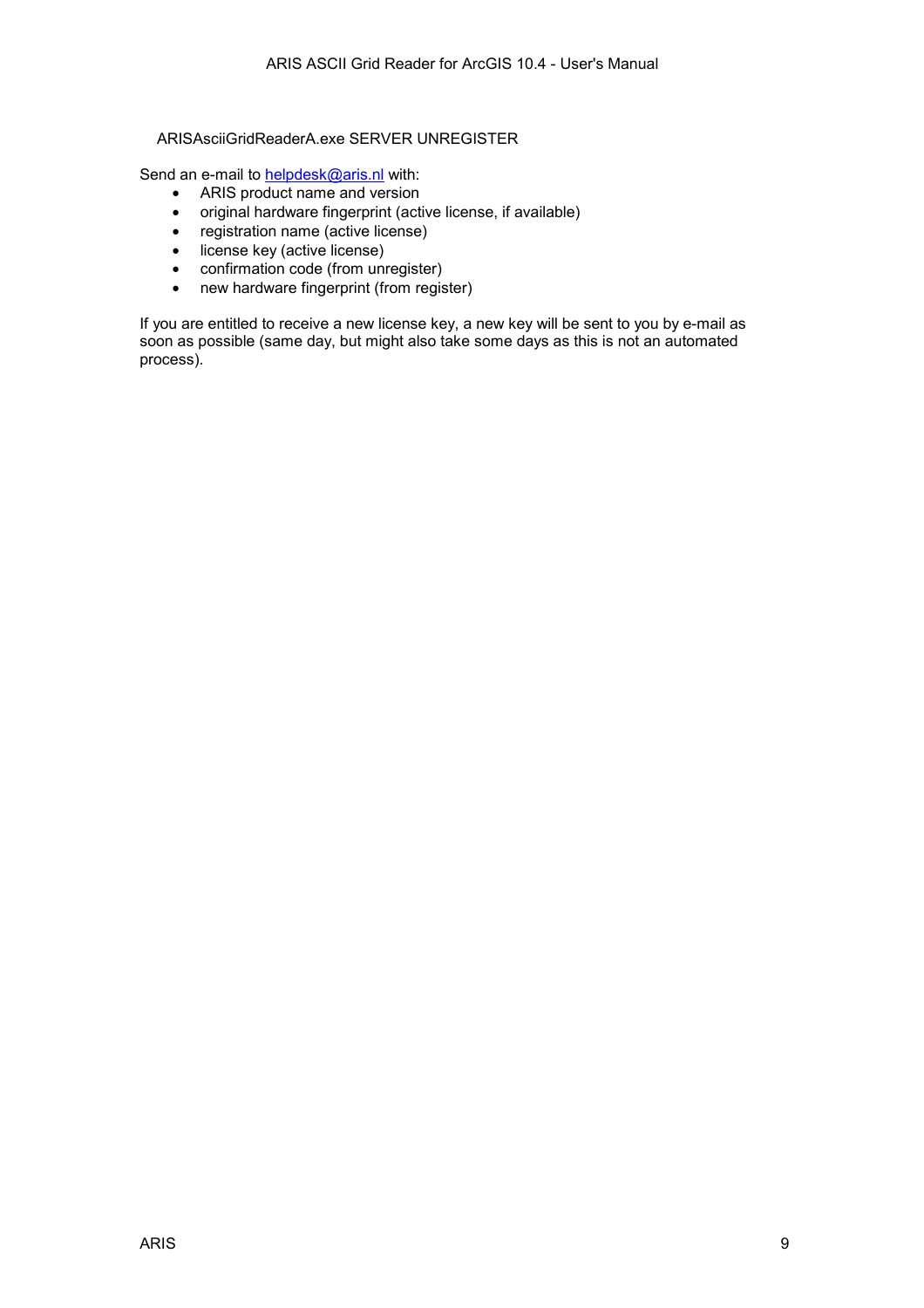#### ARISAsciiGridReaderA.exe SERVER UNREGISTER

Send an e-mail to **helpdesk@aris.nl** with:

- ARIS product name and version
- original hardware fingerprint (active license, if available)
- registration name (active license)
- license key (active license)
- confirmation code (from unregister)
- new hardware fingerprint (from register)

If you are entitled to receive a new license key, a new key will be sent to you by e-mail as soon as possible (same day, but might also take some days as this is not an automated process).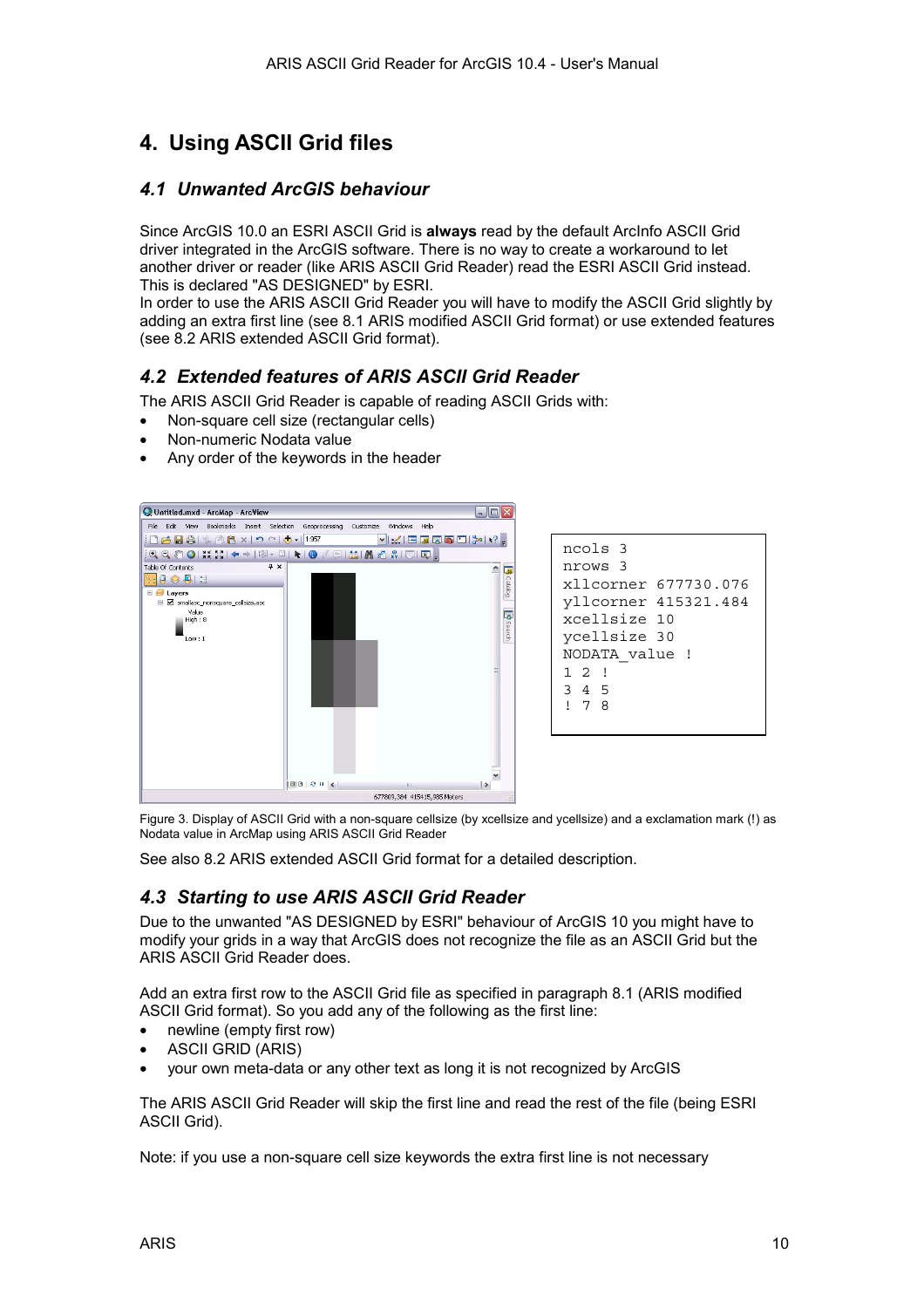## <span id="page-9-0"></span>**4. Using ASCII Grid files**

### *4.1 Unwanted ArcGIS behaviour*

Since ArcGIS 10.0 an ESRI ASCII Grid is **always** read by the default ArcInfo ASCII Grid driver integrated in the ArcGIS software. There is no way to create a workaround to let another driver or reader (like ARIS ASCII Grid Reader) read the ESRI ASCII Grid instead. This is declared "AS DESIGNED" by ESRI.

In order to use the ARIS ASCII Grid Reader you will have to modify the ASCII Grid slightly by adding an extra first line (see [8.1 ARIS modified ASCII Grid format\)](#page-17-0) or use extended features (see [8.2 ARIS extended ASCII Grid format\)](#page-18-0).

## *4.2 Extended features of ARIS ASCII Grid Reader*

The ARIS ASCII Grid Reader is capable of reading ASCII Grids with:

- Non-square cell size (rectangular cells)
- Non-numeric Nodata value
- Any order of the keywords in the header



```
ncols 3 
nrows 3 
xllcorner 677730.076 
yllcorner 415321.484 
xcellsize 10 
ycellsize 30 
NODATA_value ! 
1 2 ! 
3 4 5 
! 7 8
```
Figure 3. Display of ASCII Grid with a non-square cellsize (by xcellsize and ycellsize) and a exclamation mark (!) as Nodata value in ArcMap using ARIS ASCII Grid Reader

See also [8.2 ARIS extended ASCII Grid format f](#page-18-0)or a detailed description.

## *4.3 Starting to use ARIS ASCII Grid Reader*

Due to the unwanted "AS DESIGNED by ESRI" behaviour of ArcGIS 10 you might have to modify your grids in a way that ArcGIS does not recognize the file as an ASCII Grid but the ARIS ASCII Grid Reader does.

Add an extra first row to the ASCII Grid file as specified in paragraph [8.1 \(ARIS modified](#page-17-0)  [ASCII Grid format\)](#page-17-0). So you add any of the following as the first line:

- newline (empty first row)
- ASCII GRID (ARIS)
- your own meta-data or any other text as long it is not recognized by ArcGIS

The ARIS ASCII Grid Reader will skip the first line and read the rest of the file (being ESRI ASCII Grid).

Note: if you use a non-square cell size keywords the extra first line is not necessary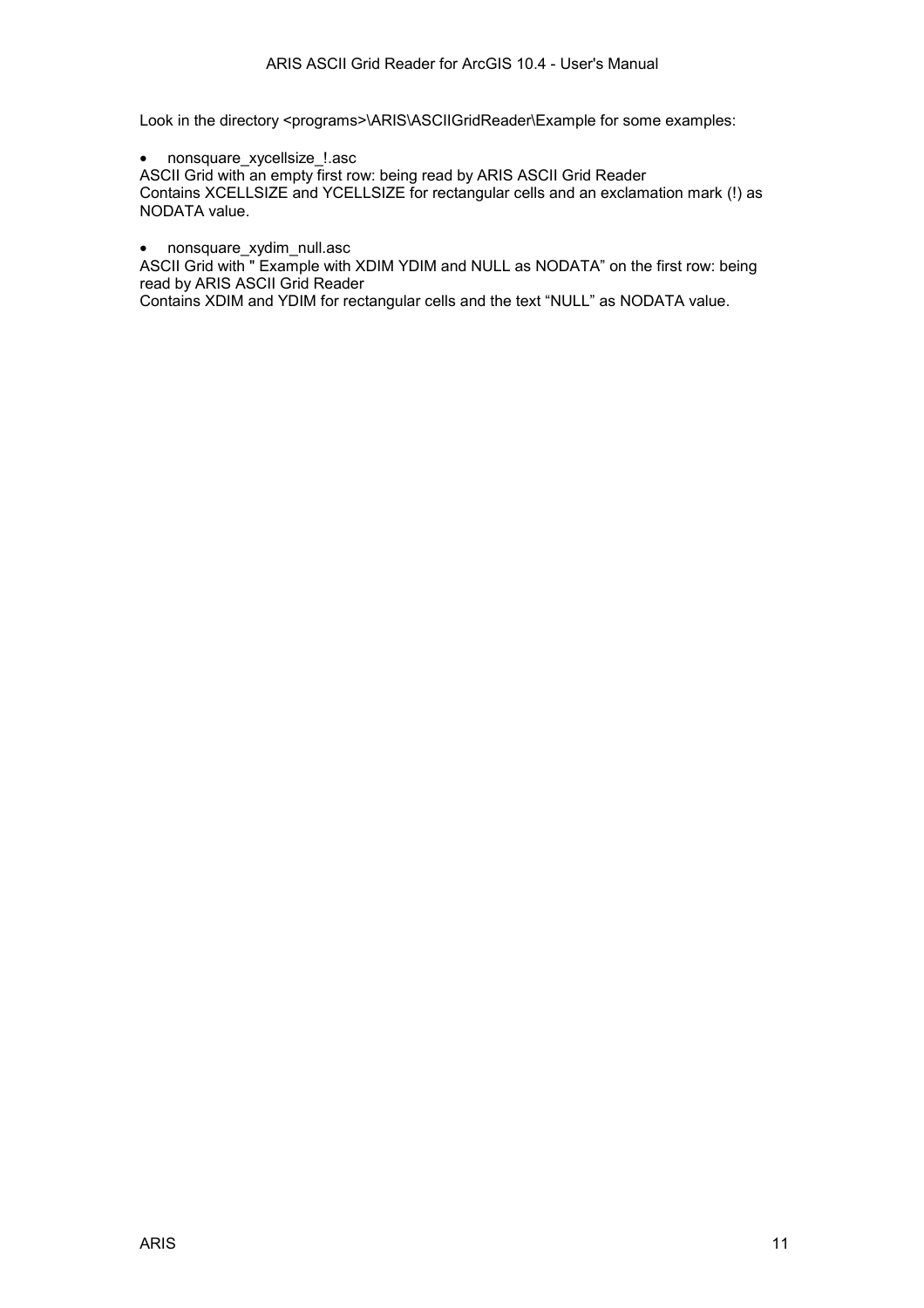Look in the directory <programs>\ARIS\ASCIIGridReader\Example for some examples:

• nonsquare\_xycellsize\_!.asc

ASCII Grid with an empty first row: being read by ARIS ASCII Grid Reader Contains XCELLSIZE and YCELLSIZE for rectangular cells and an exclamation mark (!) as NODATA value.

• nonsquare xydim null.asc

ASCII Grid with " Example with XDIM YDIM and NULL as NODATA" on the first row: being read by ARIS ASCII Grid Reader

Contains XDIM and YDIM for rectangular cells and the text "NULL" as NODATA value.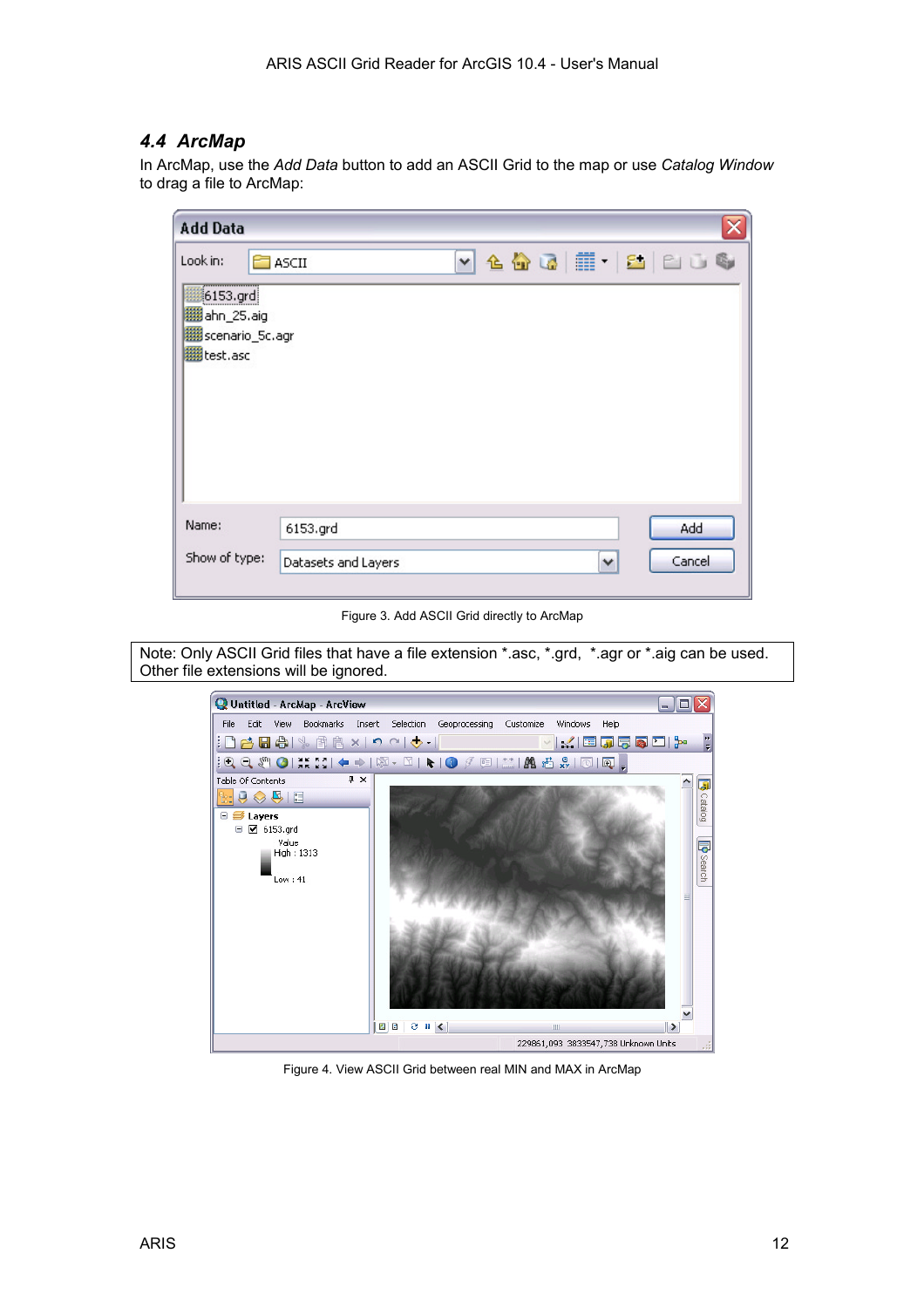## <span id="page-11-0"></span>*4.4 ArcMap*

In ArcMap, use the *Add Data* button to add an ASCII Grid to the map or use *Catalog Window* to drag a file to ArcMap:

| <b>Add Data</b>                                                                                  |                                                                |  |
|--------------------------------------------------------------------------------------------------|----------------------------------------------------------------|--|
| Look in:<br>,,,,,,,,,,,,,,<br><b>翻6153.grd</b><br>ahn_25.aig<br>scenario_5c.agr<br>IIII test.asc | $\sim$ 4 $\omega$ $\equiv$ $\sim$ 1 $\sim$ 6<br><b>E</b> ASCII |  |
| Name:<br>Show of type:                                                                           | Add<br>6153.grd<br>Cancel<br>Datasets and Layers<br>٧          |  |

Figure 3. Add ASCII Grid directly to ArcMap

Note: Only ASCII Grid files that have a file extension \*.asc, \*.grd, \*.agr or \*.aig can be used. Other file extensions will be ignored.



Figure 4. View ASCII Grid between real MIN and MAX in ArcMap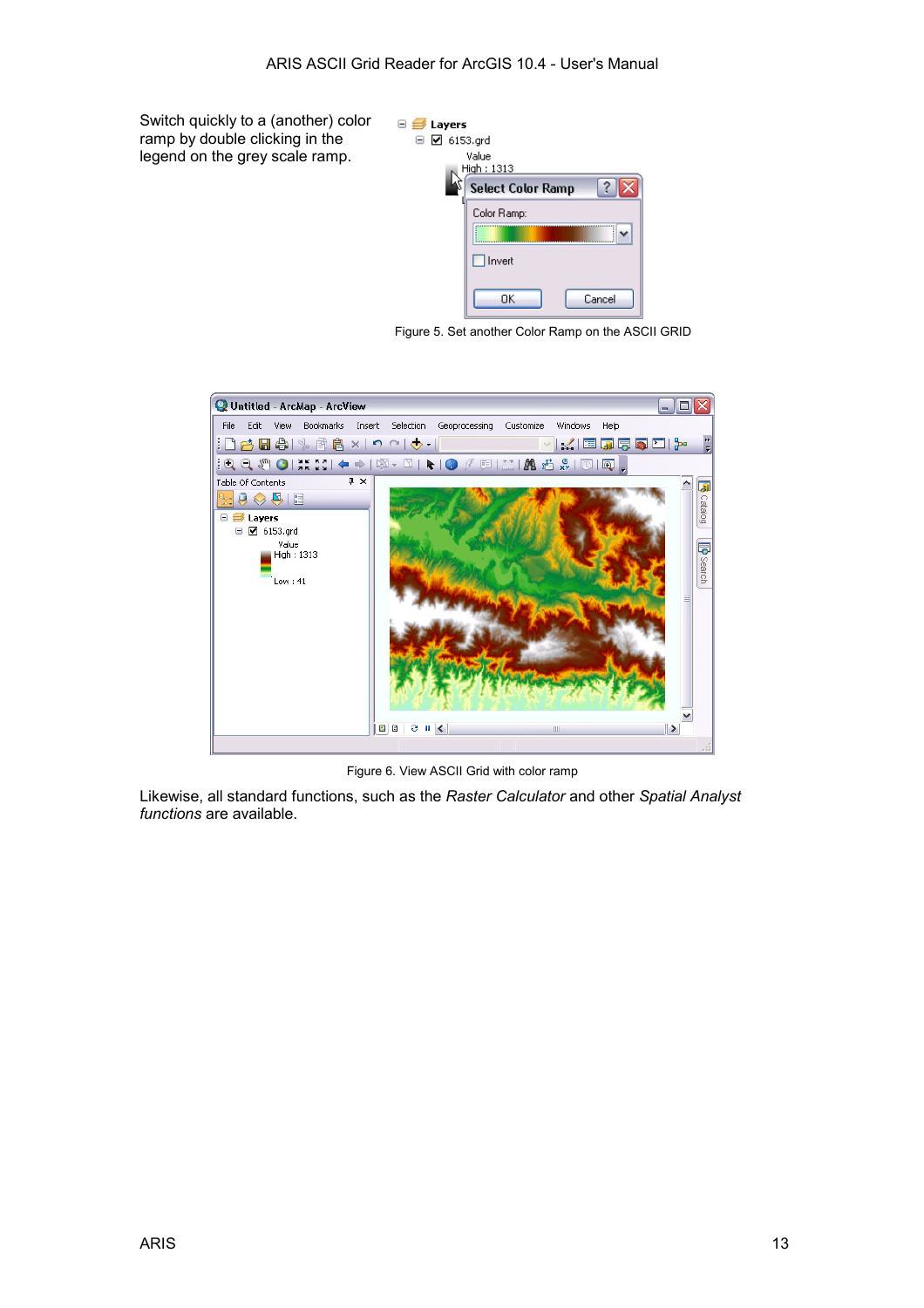Switch quickly to a (another) color ramp by double clicking in the legend on the grey scale ramp.



Figure 5. Set another Color Ramp on the ASCII GRID



Figure 6. View ASCII Grid with color ramp

Likewise, all standard functions, such as the *Raster Calculator* and other *Spatial Analyst functions* are available.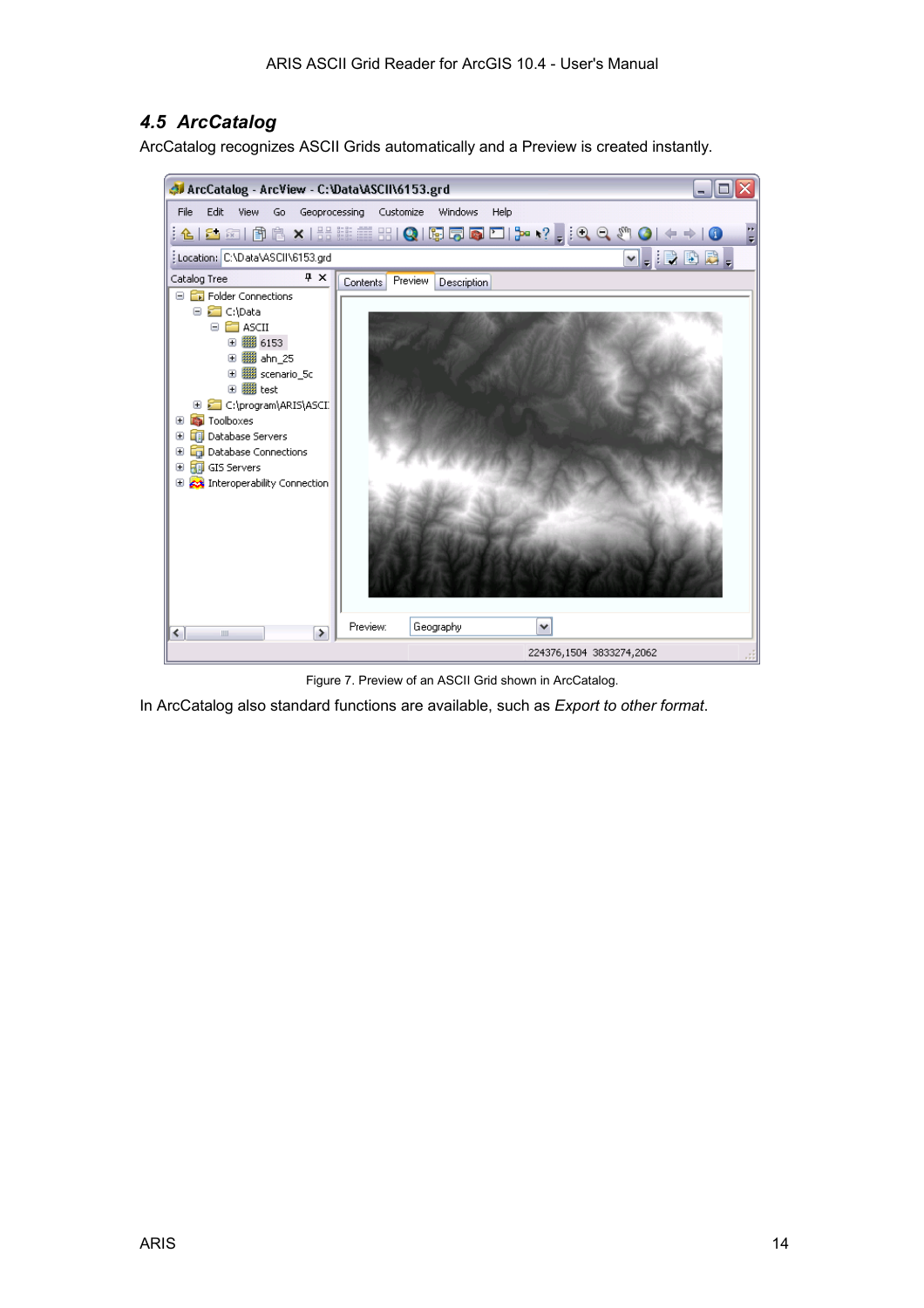## <span id="page-13-0"></span>*4.5 ArcCatalog*

ArcCatalog recognizes ASCII Grids automatically and a Preview is created instantly.



Figure 7. Preview of an ASCII Grid shown in ArcCatalog.

In ArcCatalog also standard functions are available, such as *Export to other format*.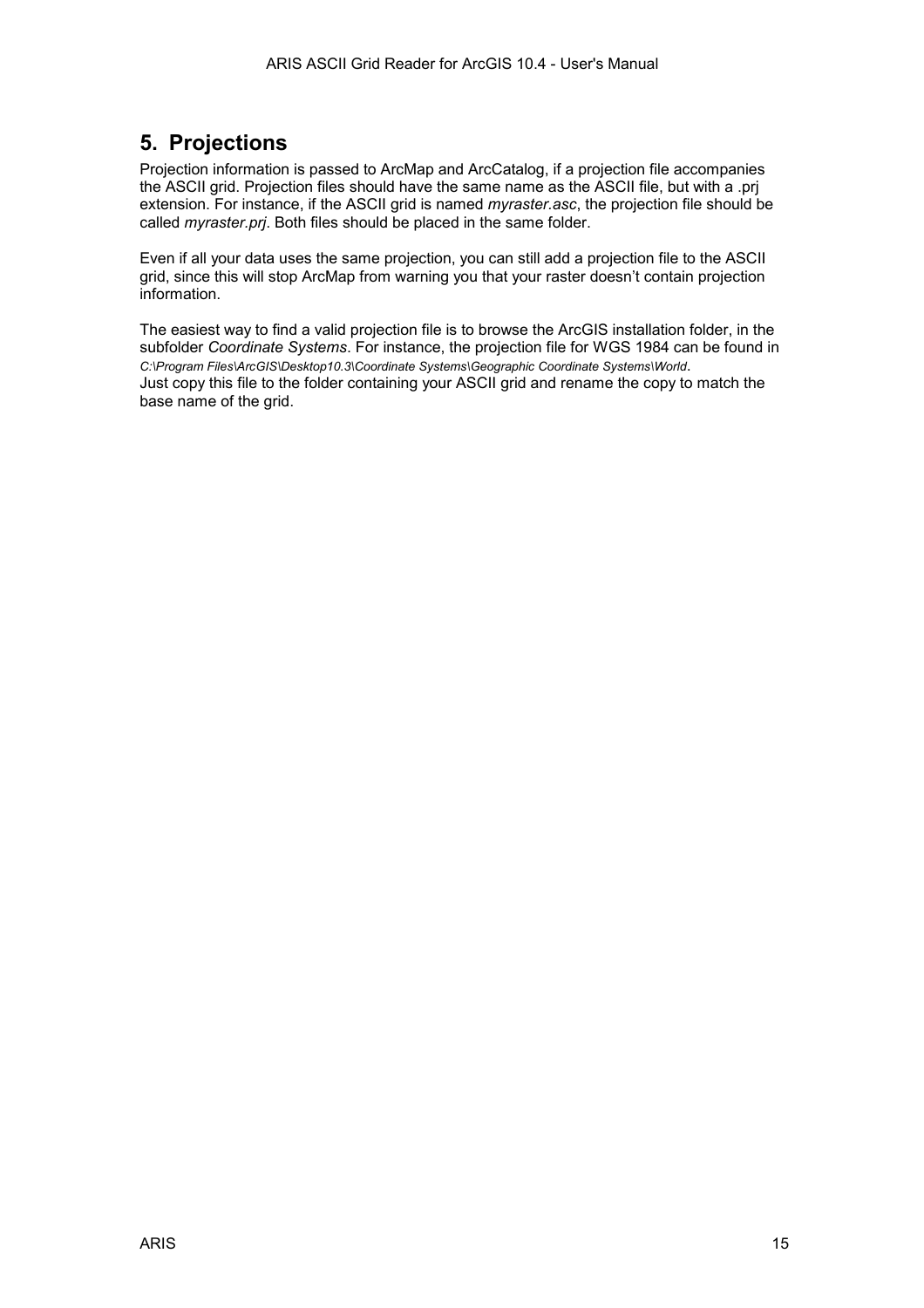## <span id="page-14-0"></span>**5. Projections**

Projection information is passed to ArcMap and ArcCatalog, if a projection file accompanies the ASCII grid. Projection files should have the same name as the ASCII file, but with a .prj extension. For instance, if the ASCII grid is named *myraster.asc*, the projection file should be called *myraster.prj*. Both files should be placed in the same folder.

Even if all your data uses the same projection, you can still add a projection file to the ASCII grid, since this will stop ArcMap from warning you that your raster doesn't contain projection information.

The easiest way to find a valid projection file is to browse the ArcGIS installation folder, in the subfolder *Coordinate Systems*. For instance, the projection file for WGS 1984 can be found in *C:\Program Files\ArcGIS\Desktop10.3\Coordinate Systems\Geographic Coordinate Systems\World*. Just copy this file to the folder containing your ASCII grid and rename the copy to match the base name of the grid.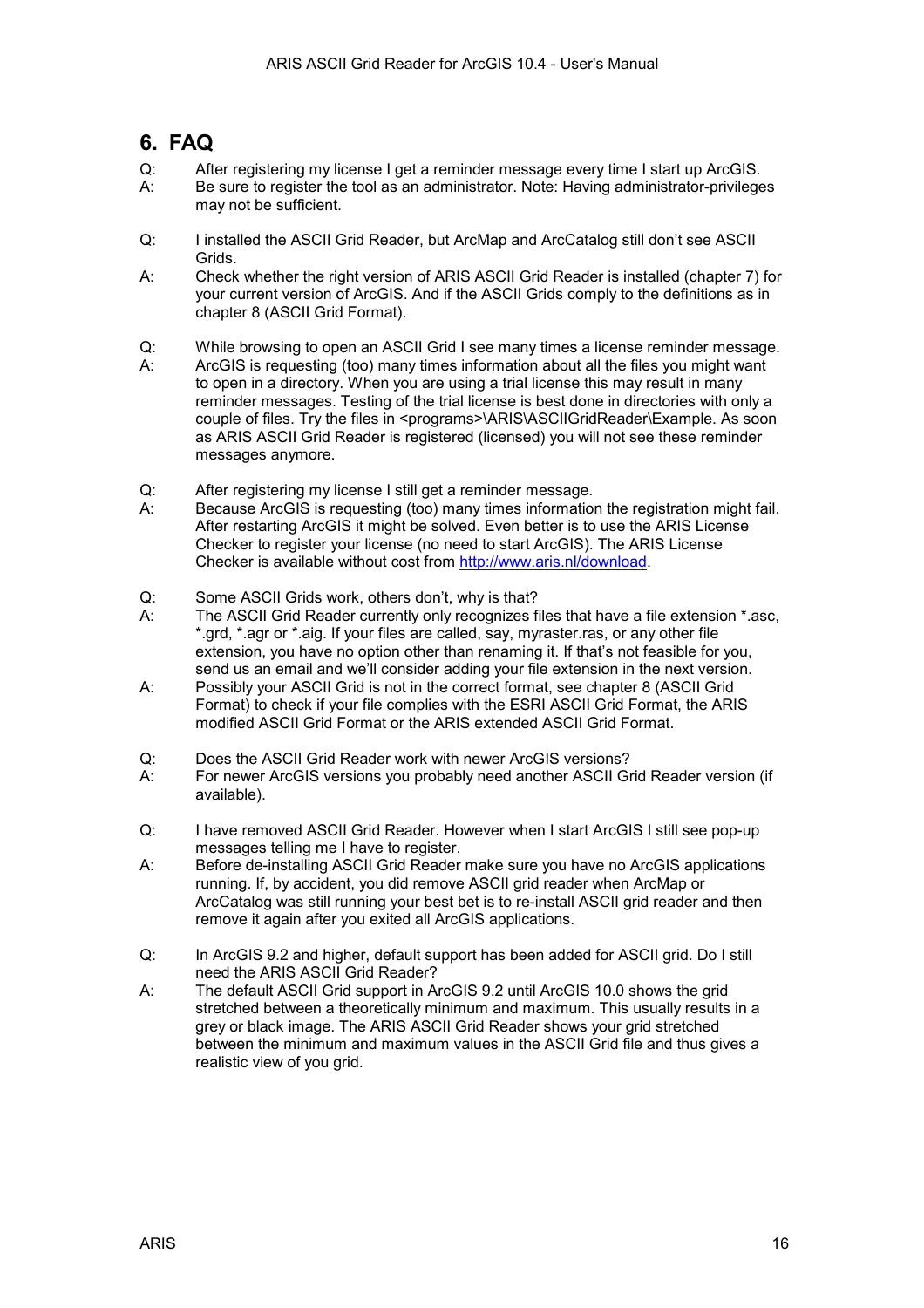## <span id="page-15-0"></span>**6. FAQ**

- Q: After registering my license I get a reminder message every time I start up ArcGIS. A: Be sure to register the tool as an administrator. Note: Having administrator-privileges may not be sufficient.
- Q: I installed the ASCII Grid Reader, but ArcMap and ArcCatalog still don't see ASCII Grids.
- A: Check whether the right version of ARIS ASCII Grid Reader is installed (chapter 7) for your current version of ArcGIS. And if the ASCII Grids comply to the definitions as in chapter [8](#page-17-0) ([ASCII Grid Format\)](#page-17-0).
- Q: While browsing to open an ASCII Grid I see many times a license reminder message.
- A: ArcGIS is requesting (too) many times information about all the files you might want to open in a directory. When you are using a trial license this may result in many reminder messages. Testing of the trial license is best done in directories with only a couple of files. Try the files in <programs>\ARIS\ASCIIGridReader\Example. As soon as ARIS ASCII Grid Reader is registered (licensed) you will not see these reminder messages anymore.
- Q: After registering my license I still get a reminder message.
- A: Because ArcGIS is requesting (too) many times information the registration might fail. After restarting ArcGIS it might be solved. Even better is to use the ARIS License Checker to register your license (no need to start ArcGIS). The ARIS License Checker is available without cost from [http://www.aris.nl/download.](http://www.aris.nl/download)
- Q: Some ASCII Grids work, others don't, why is that?
- A: The ASCII Grid Reader currently only recognizes files that have a file extension \*.asc, \*.grd, \*.agr or \*.aig. If your files are called, say, myraster.ras, or any other file extension, you have no option other than renaming it. If that's not feasible for you, send us an email and we'll consider adding your file extension in the next version.
- A: Possibly your ASCII Grid is not in the correct format, see chapter [8 \(ASCII Grid](#page-17-0)  [Format\)](#page-17-0) to check if your file complies with the ESRI ASCII Grid Format, the ARIS modified ASCII Grid Format or the ARIS extended ASCII Grid Format.
- Q: Does the ASCII Grid Reader work with newer ArcGIS versions?
- A: For newer ArcGIS versions you probably need another ASCII Grid Reader version (if available).
- Q: I have removed ASCII Grid Reader. However when I start ArcGIS I still see pop-up messages telling me I have to register.
- A: Before de-installing ASCII Grid Reader make sure you have no ArcGIS applications running. If, by accident, you did remove ASCII grid reader when ArcMap or ArcCatalog was still running your best bet is to re-install ASCII grid reader and then remove it again after you exited all ArcGIS applications.
- Q: In ArcGIS 9.2 and higher, default support has been added for ASCII grid. Do I still need the ARIS ASCII Grid Reader?
- A: The default ASCII Grid support in ArcGIS 9.2 until ArcGIS 10.0 shows the grid stretched between a theoretically minimum and maximum. This usually results in a grey or black image. The ARIS ASCII Grid Reader shows your grid stretched between the minimum and maximum values in the ASCII Grid file and thus gives a realistic view of you grid.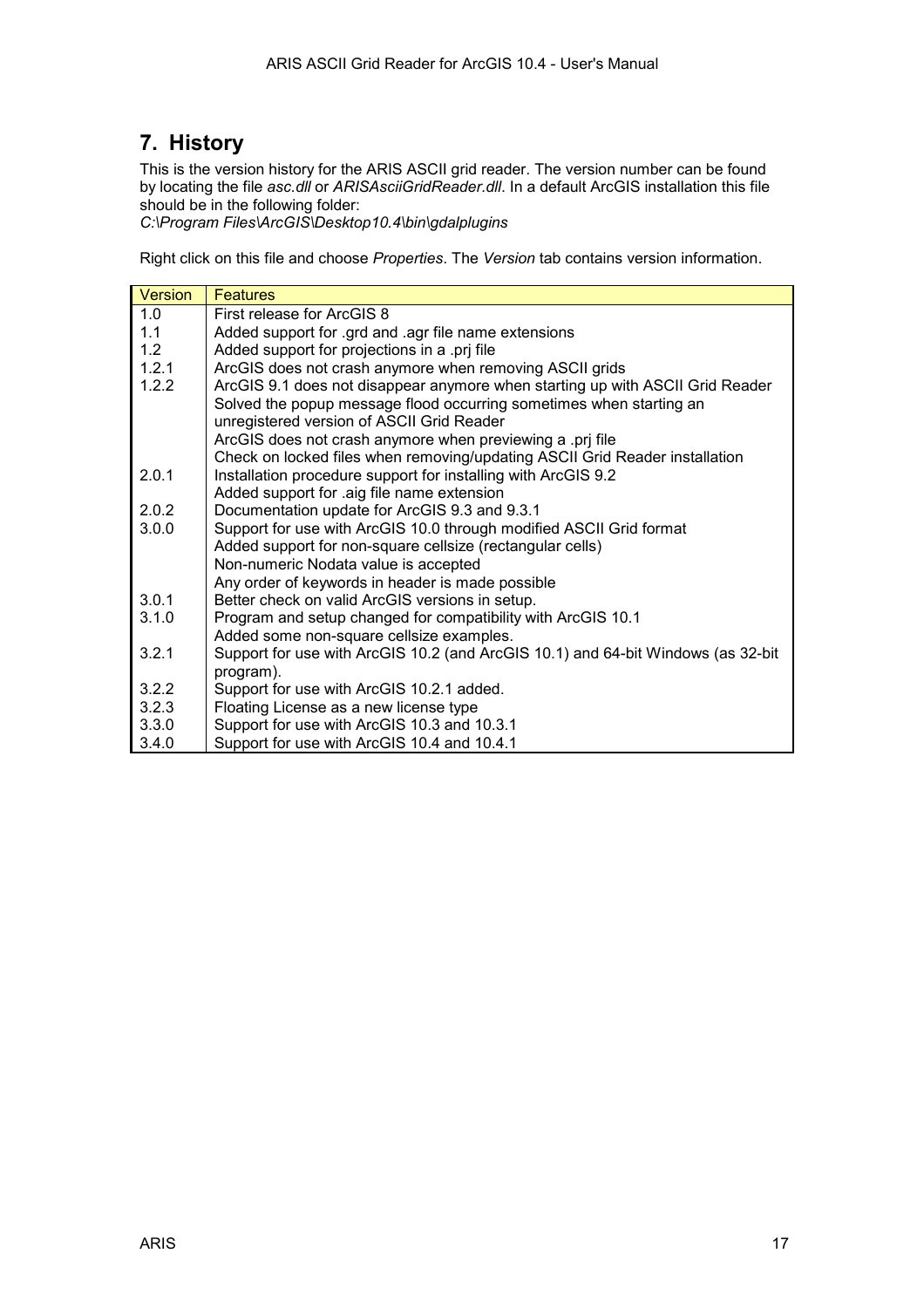## <span id="page-16-0"></span>**7. History**

This is the version history for the ARIS ASCII grid reader. The version number can be found by locating the file *asc.dll* or *ARISAsciiGridReader.dll*. In a default ArcGIS installation this file should be in the following folder:

*C:\Program Files\ArcGIS\Desktop10.4\bin\gdalplugins*

Right click on this file and choose *Properties*. The *Version* tab contains version information.

| <b>Version</b> | <b>Features</b>                                                                  |
|----------------|----------------------------------------------------------------------------------|
| 1.0            | First release for ArcGIS 8                                                       |
| 1.1            | Added support for .grd and .agr file name extensions                             |
| 1.2            | Added support for projections in a .prj file                                     |
| 1.2.1          | ArcGIS does not crash anymore when removing ASCII grids                          |
| 1.2.2          | ArcGIS 9.1 does not disappear anymore when starting up with ASCII Grid Reader    |
|                | Solved the popup message flood occurring sometimes when starting an              |
|                | unregistered version of ASCII Grid Reader                                        |
|                | ArcGIS does not crash anymore when previewing a .prj file                        |
|                | Check on locked files when removing/updating ASCII Grid Reader installation      |
| 2.0.1          | Installation procedure support for installing with ArcGIS 9.2                    |
|                | Added support for .aig file name extension                                       |
| 202            | Documentation update for ArcGIS 9.3 and 9.3.1                                    |
| 3.0.0          | Support for use with ArcGIS 10.0 through modified ASCII Grid format              |
|                | Added support for non-square cellsize (rectangular cells)                        |
|                | Non-numeric Nodata value is accepted                                             |
|                | Any order of keywords in header is made possible                                 |
| 3.0.1          | Better check on valid ArcGIS versions in setup.                                  |
| 3.1.0          | Program and setup changed for compatibility with ArcGIS 10.1                     |
|                | Added some non-square cellsize examples.                                         |
| 3.2.1          | Support for use with ArcGIS 10.2 (and ArcGIS 10.1) and 64-bit Windows (as 32-bit |
|                | program).                                                                        |
| 3.2.2          | Support for use with ArcGIS 10.2.1 added.                                        |
| 3.2.3          | Floating License as a new license type                                           |
| 3.3.0          | Support for use with ArcGIS 10.3 and 10.3.1                                      |
| 3.4.0          | Support for use with ArcGIS 10.4 and 10.4.1                                      |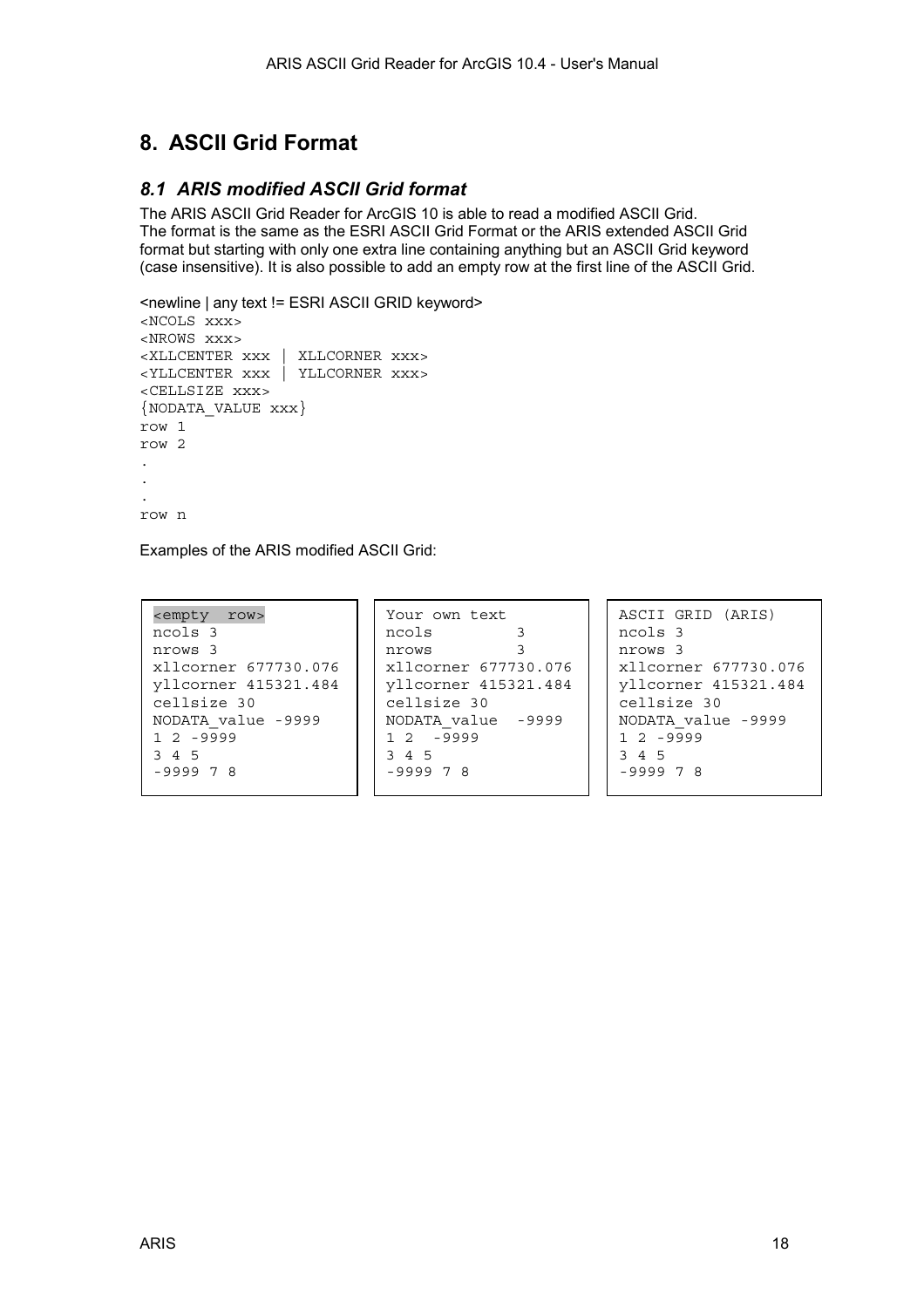## <span id="page-17-0"></span>**8. ASCII Grid Format**

## *8.1 ARIS modified ASCII Grid format*

The ARIS ASCII Grid Reader for ArcGIS 10 is able to read a modified ASCII Grid. The format is the same as the ESRI ASCII Grid Format or the ARIS extended ASCII Grid format but starting with only one extra line containing anything but an ASCII Grid keyword (case insensitive). It is also possible to add an empty row at the first line of the ASCII Grid.

```
<newline | any text != ESRI ASCII GRID keyword> 
<NCOLS xxx> 
<NROWS xxx> 
<XLLCENTER xxx | XLLCORNER xxx> 
<YLLCENTER xxx | YLLCORNER xxx> 
<CELLSIZE xxx> 
{NODATA_VALUE xxx} 
row 1 
row 2 
. 
. 
. 
row n
```
Examples of the ARIS modified ASCII Grid:

| <empty row=""></empty> | Your own text        | ASCII GRID (ARIS)    |  |  |
|------------------------|----------------------|----------------------|--|--|
| ncols 3                | ncols                | ncols 3              |  |  |
| nrows 3                | nrows                | nrows 3              |  |  |
| xllcorner 677730.076   | xllcorner 677730.076 | xllcorner 677730.076 |  |  |
| vllcorner 415321.484   | yllcorner 415321.484 | yllcorner 415321.484 |  |  |
| cellsize 30            | cellsize 30          | cellsize 30          |  |  |
| NODATA value -9999     | NODATA value -9999   | NODATA value -9999   |  |  |
| $1, 2, -9999$          | $12 - 9999$          | $1, 2, -9999$        |  |  |
| 3 4 5                  | 3 4 5                | 3 4 5                |  |  |
| $-999978$              | $-999978$            | $-999978$            |  |  |
|                        |                      |                      |  |  |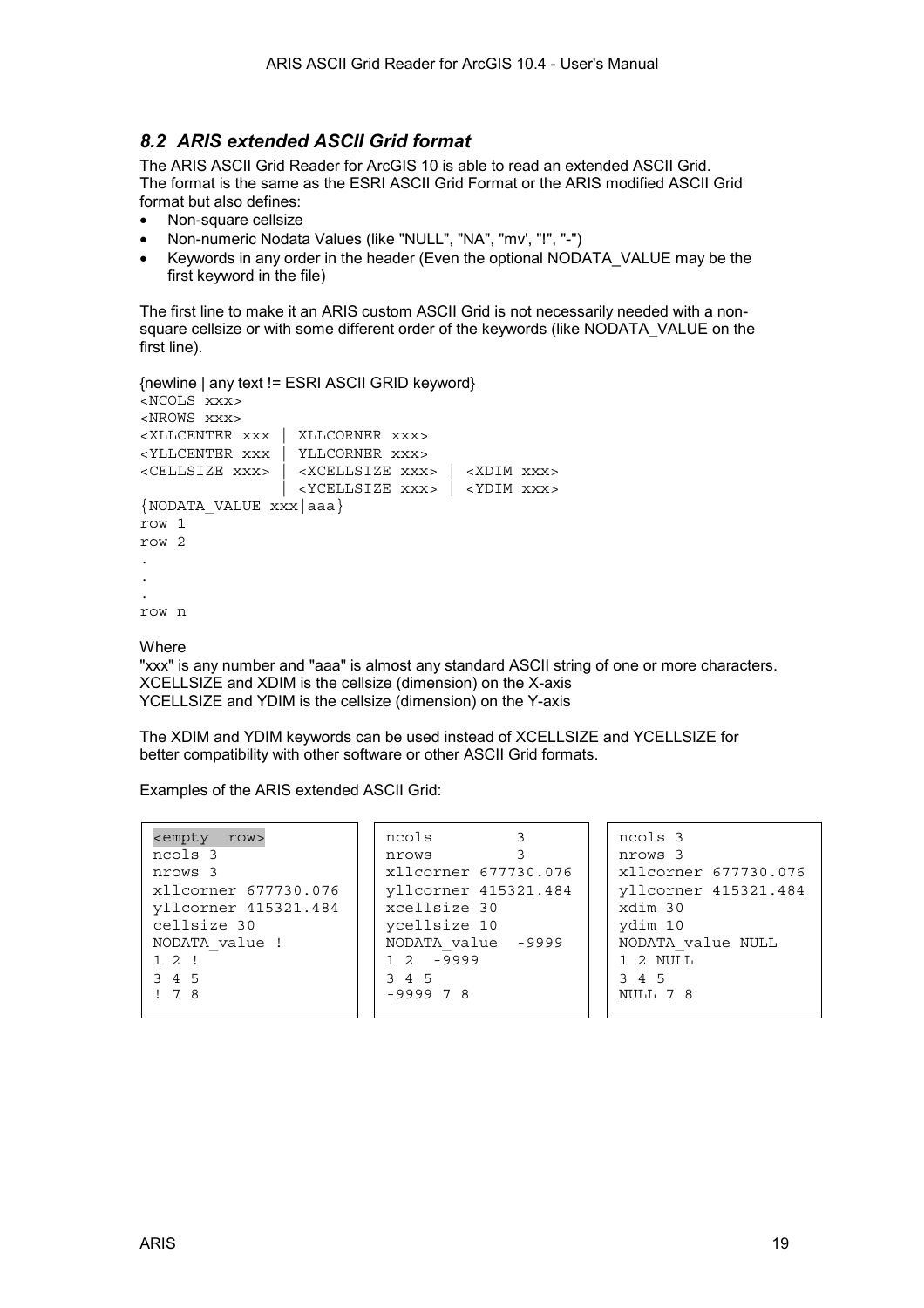### <span id="page-18-0"></span>*8.2 ARIS extended ASCII Grid format*

The ARIS ASCII Grid Reader for ArcGIS 10 is able to read an extended ASCII Grid. The format is the same as the [ESRI ASCII Grid Format o](#page-19-0)r the [ARIS modified ASCII Grid](#page-17-0)  [format](#page-17-0) but also defines:

- Non-square cellsize
- Non-numeric Nodata Values (like "NULL", "NA", "mv', "!", "-")
- Keywords in any order in the header (Even the optional NODATA\_VALUE may be the first keyword in the file)

The first line to make it an ARIS custom ASCII Grid is not necessarily needed with a nonsquare cellsize or with some different order of the keywords (like NODATA\_VALUE on the first line).

```
{newline | any text != ESRI ASCII GRID keyword} 
<NCOLS xxx> 
<NROWS xxx> 
<XLLCENTER xxx | XLLCORNER xxx> 
<YLLCENTER xxx | YLLCORNER xxx> 
<CELLSIZE xxx> | <XCELLSIZE xxx> | <XDIM xxx> 
                 | <YCELLSIZE xxx> | <YDIM xxx>
{NODATA_VALUE xxx|aaa} 
row 1 
row 2 
. 
. 
. 
row n
```
**Where** 

"xxx" is any number and "aaa" is almost any standard ASCII string of one or more characters. XCELLSIZE and XDIM is the cellsize (dimension) on the X-axis YCELLSIZE and YDIM is the cellsize (dimension) on the Y-axis

The XDIM and YDIM keywords can be used instead of XCELLSIZE and YCELLSIZE for better compatibility with other software or other ASCII Grid formats.

Examples of the ARIS extended ASCII Grid:

| <empty row=""></empty> | ncols                |                      |  | ncols 3              |  |  |
|------------------------|----------------------|----------------------|--|----------------------|--|--|
| ncols 3                | nrows                |                      |  | nrows 3              |  |  |
| nrows 3                | xllcorner 677730.076 |                      |  | xllcorner 677730.076 |  |  |
| xllcorner 677730.076   |                      | yllcorner 415321.484 |  | yllcorner 415321.484 |  |  |
| yllcorner 415321.484   | xcellsize 30         |                      |  | xdim 30              |  |  |
| cellsize 30            | ycellsize 10         |                      |  | ydim 10              |  |  |
| NODATA value !         | NODATA value -9999   |                      |  | NODATA value NULL    |  |  |
| $1 \t2 \t1$            | $12 - 9999$          |                      |  | 1 2 NULL             |  |  |
| 3 4 5                  | 3 4 5                |                      |  | 3 4 5                |  |  |
| $\frac{1}{2}$ 7 8      | $-999978$            |                      |  | NULL 7 8             |  |  |
|                        |                      |                      |  |                      |  |  |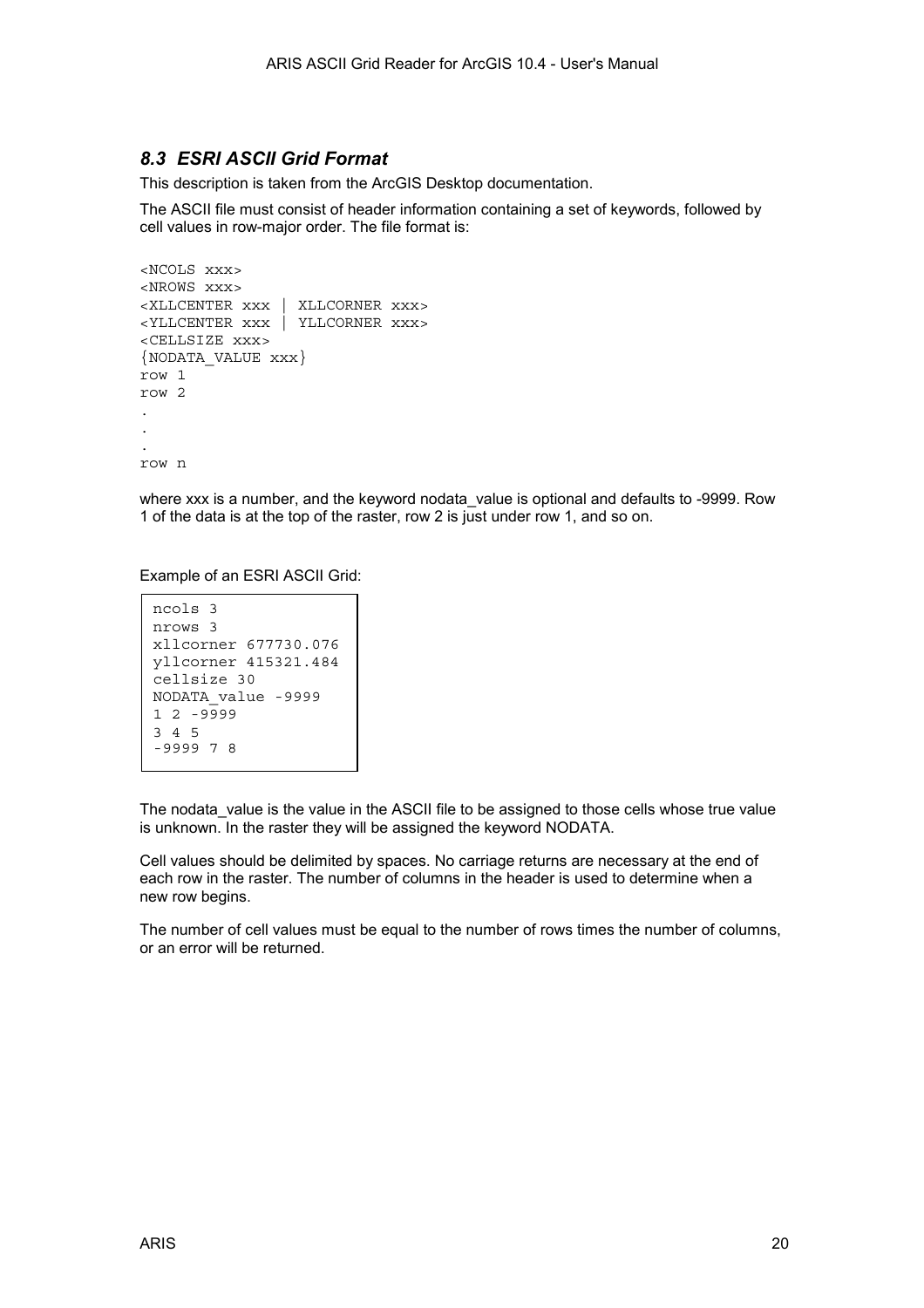### <span id="page-19-0"></span>*8.3 ESRI ASCII Grid Format*

This description is taken from the ArcGIS Desktop documentation.

The ASCII file must consist of header information containing a set of keywords, followed by cell values in row-major order. The file format is:

```
<NCOLS xxx> 
<NROWS xxx> 
<XLLCENTER xxx | XLLCORNER xxx> 
<YLLCENTER xxx | YLLCORNER xxx> 
<CELLSIZE xxx> 
{NODATA_VALUE xxx} 
row 1 
row 2 
. 
. 
. 
row n
```
where xxx is a number, and the keyword nodata value is optional and defaults to -9999. Row 1 of the data is at the top of the raster, row 2 is just under row 1, and so on.

Example of an ESRI ASCII Grid:

```
ncols 3 
nrows 3 
xllcorner 677730.076 
yllcorner 415321.484 
cellsize 30 
NODATA_value -9999 
1 2 -9999 
3 4 5 
-9999 7 8
```
The nodata value is the value in the ASCII file to be assigned to those cells whose true value is unknown. In the raster they will be assigned the keyword NODATA.

Cell values should be delimited by spaces. No carriage returns are necessary at the end of each row in the raster. The number of columns in the header is used to determine when a new row begins.

The number of cell values must be equal to the number of rows times the number of columns, or an error will be returned.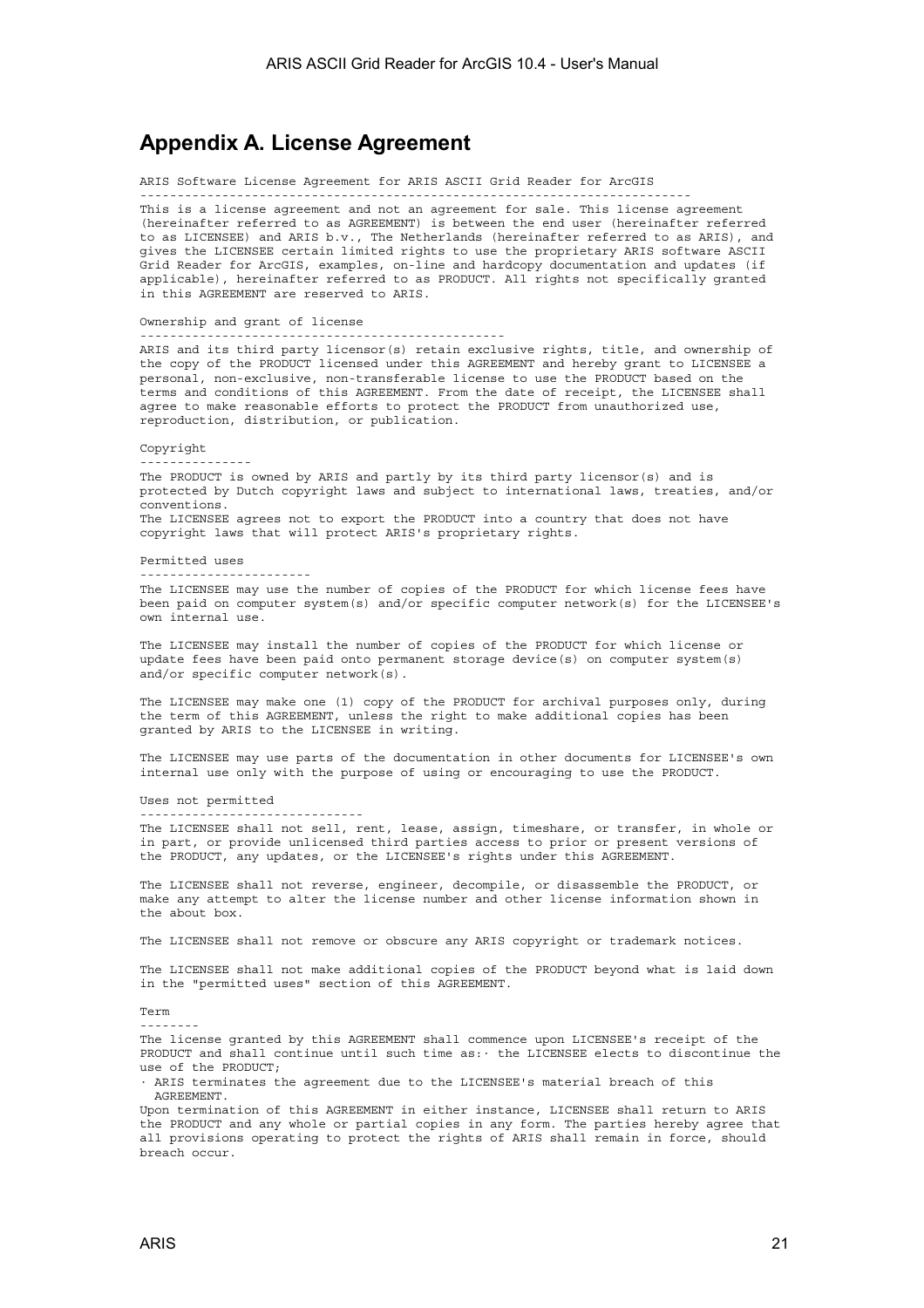## <span id="page-20-0"></span>**Appendix A. License Agreement**

ARIS Software License Agreement for ARIS ASCII Grid Reader for ArcGIS

-------------------------------------------------------------------------- This is a license agreement and not an agreement for sale. This license agreement (hereinafter referred to as AGREEMENT) is between the end user (hereinafter referred to as LICENSEE) and ARIS b.v., The Netherlands (hereinafter referred to as ARIS), and gives the LICENSEE certain limited rights to use the proprietary ARIS software ASCII Grid Reader for ArcGIS, examples, on-line and hardcopy documentation and updates (if applicable), hereinafter referred to as PRODUCT. All rights not specifically granted in this AGREEMENT are reserved to ARIS.

Ownership and grant of license

-------------------------------------------------

------------------------------

ARIS and its third party licensor(s) retain exclusive rights, title, and ownership of the copy of the PRODUCT licensed under this AGREEMENT and hereby grant to LICENSEE a personal, non-exclusive, non-transferable license to use the PRODUCT based on the terms and conditions of this AGREEMENT. From the date of receipt, the LICENSEE shall agree to make reasonable efforts to protect the PRODUCT from unauthorized use, reproduction, distribution, or publication.

Copyright

The PRODUCT is owned by ARIS and partly by its third party licensor(s) and is protected by Dutch copyright laws and subject to international laws, treaties, and/or conventions. The LICENSEE agrees not to export the PRODUCT into a country that does not have copyright laws that will protect ARIS's proprietary rights.

Permitted uses

-----------------------

---------------

The LICENSEE may use the number of copies of the PRODUCT for which license fees have been paid on computer system(s) and/or specific computer network(s) for the LICENSEE's own internal use.

The LICENSEE may install the number of copies of the PRODUCT for which license or update fees have been paid onto permanent storage device(s) on computer system(s) and/or specific computer network(s).

The LICENSEE may make one (1) copy of the PRODUCT for archival purposes only, during the term of this AGREEMENT, unless the right to make additional copies has been granted by ARIS to the LICENSEE in writing.

The LICENSEE may use parts of the documentation in other documents for LICENSEE's own internal use only with the purpose of using or encouraging to use the PRODUCT.

Uses not permitted

The LICENSEE shall not sell, rent, lease, assign, timeshare, or transfer, in whole or in part, or provide unlicensed third parties access to prior or present versions of the PRODUCT, any updates, or the LICENSEE's rights under this AGREEMENT.

The LICENSEE shall not reverse, engineer, decompile, or disassemble the PRODUCT, or make any attempt to alter the license number and other license information shown in the about box.

The LICENSEE shall not remove or obscure any ARIS copyright or trademark notices.

The LICENSEE shall not make additional copies of the PRODUCT beyond what is laid down in the "permitted uses" section of this AGREEMENT.

Term

--------

The license granted by this AGREEMENT shall commence upon LICENSEE's receipt of the PRODUCT and shall continue until such time as:· the LICENSEE elects to discontinue the use of the PRODUCT;

· ARIS terminates the agreement due to the LICENSEE's material breach of this AGREEMENT.

Upon termination of this AGREEMENT in either instance, LICENSEE shall return to ARIS the PRODUCT and any whole or partial copies in any form. The parties hereby agree that all provisions operating to protect the rights of ARIS shall remain in force, should breach occur.